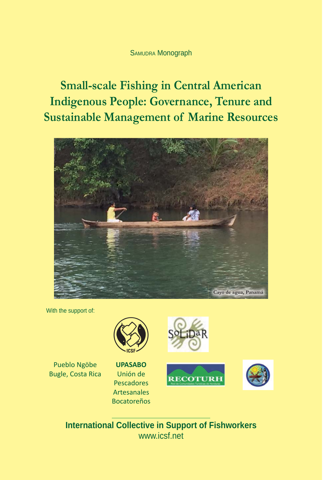### SAMUDRA Monograph

**Small-scale Fishing in Central American Indigenous People: Governance, Tenure and Sustainable Management of Marine Resources**



With the support of:



Pueblo Ngöbe Bugle, Costa Rica

**UPASABO** Unión de Pescadores **Artesanales** Bocatoreños







**International Collective in Support of Fishworkers** www.icsf.net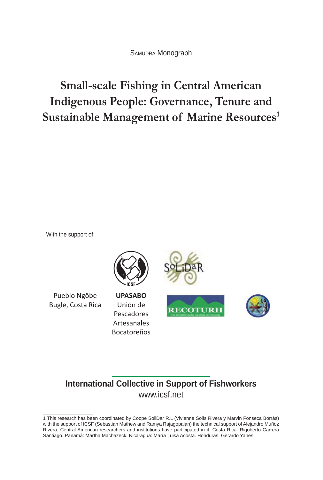SAMUDRA Monograph

# **Small-scale Fishing in Central American Indigenous People: Governance, Tenure and Sustainable Management of Marine Resources1**

With the support of:



# **International Collective in Support of Fishworkers** www.icsf.net

<sup>1</sup> This research has been coordinated by Coope SoliDar R.L (Vivienne Solís Rivera y Marvin Fonseca Borrás) with the support of ICSF (Sebastian Mathew and Ramya Rajagopalan) the technical support of Alejandro Muñoz Rivera. Central American researchers and institutions have participated in it: Costa Rica: Rigoberto Carrera Santiago. Panamá: Martha Machazeck. Nicaragua: María Luisa Acosta. Honduras: Gerardo Yanes.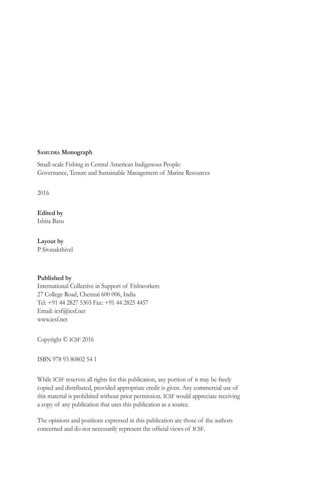#### **SAMUDRA Monograph**

Small-scale Fishing in Central American Indigenous People: Governance, Tenure and Sustainable Management of Marine Resources

2016

#### **Edited by**

Ishita Basu

**Layout by** P Sivasakthivel

#### **Published by**

International Collective in Support of Fishworkers 27 College Road, Chennai 600 006, India Tel: +91 44 2827 5303 Fax: +91 44 2825 4457 Email: icsf@icsf.net www.icsf.net

Copyright © ICSF 2016

ISBN 978 93 80802 54 1

While ICSF reserves all rights for this publication, any portion of it may be freely copied and distributed, provided appropriate credit is given. Any commercial use of this material is prohibited without prior permission. ICSF would appreciate receiving a copy of any publication that uses this publication as a source.

The opinions and positions expressed in this publication are those of the authors concerned and do not necessarily represent the official views of ICSF.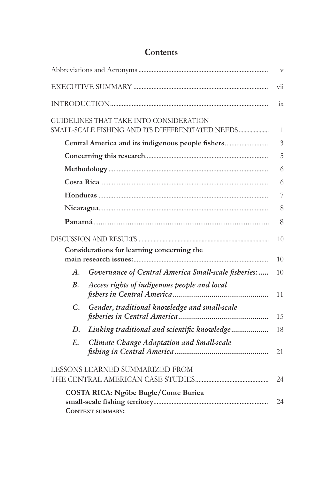|                                                   |                                                                                             | $\mathbf{V}$   |
|---------------------------------------------------|---------------------------------------------------------------------------------------------|----------------|
|                                                   |                                                                                             |                |
|                                                   |                                                                                             |                |
|                                                   | GUIDELINES THAT TAKE INTO CONSIDERATION<br>SMALL-SCALE FISHING AND ITS DIFFERENTIATED NEEDS | 1              |
| Central America and its indigenous people fishers |                                                                                             | $\overline{3}$ |
|                                                   |                                                                                             | 5              |
|                                                   |                                                                                             | 6              |
|                                                   |                                                                                             | 6              |
|                                                   |                                                                                             | 7              |
|                                                   |                                                                                             | 8              |
|                                                   |                                                                                             | 8              |
|                                                   |                                                                                             | 10             |
|                                                   | Considerations for learning concerning the                                                  | 10             |
| A.                                                | Governance of Central America Small-scale fisheries:                                        | 10             |
| <i>B</i> .                                        | Access rights of indigenous people and local                                                | 11             |
| $C_{\cdot}$                                       | Gender, traditional knowledge and small-scale                                               | 15             |
| D.                                                | Linking traditional and scientific knowledge                                                | 18             |
| E.                                                | Climate Change Adaptation and Small-scale                                                   | 21             |
| LESSONS LEARNED SUMMARIZED FROM                   |                                                                                             | 24             |
|                                                   | COSTA RICA: Ngöbe Bugle/Conte Burica<br><b>CONTEXT SUMMARY:</b>                             | 24             |

# **Contents**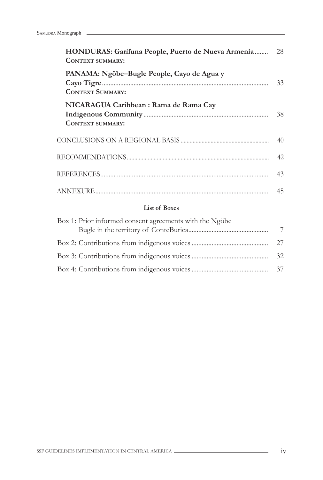| HONDURAS: Garífuna People, Puerto de Nueva Armenia<br><b>CONTEXT SUMMARY:</b> | 28 |
|-------------------------------------------------------------------------------|----|
| PANAMA: Ngöbe-Bugle People, Cayo de Agua y<br><b>CONTEXT SUMMARY:</b>         |    |
| NICARAGUA Caribbean : Rama de Rama Cay<br><b>CONTEXT SUMMARY:</b>             | 38 |
|                                                                               | 40 |
|                                                                               |    |
|                                                                               | 43 |
|                                                                               | 45 |

#### **List of Boxes**

| Box 1: Prior informed consent agreements with the Ngöbe |    |
|---------------------------------------------------------|----|
|                                                         | 7  |
|                                                         |    |
|                                                         | 32 |
|                                                         |    |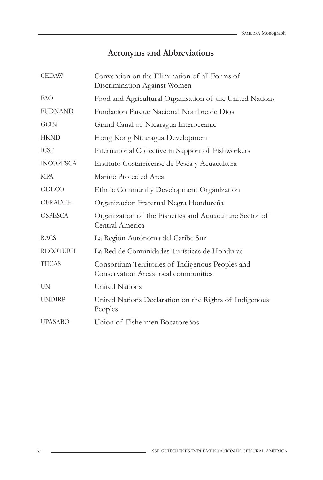# **Acronyms and Abbreviations**

| <b>CEDAW</b>     | Convention on the Elimination of all Forms of<br>Discrimination Against Women            |
|------------------|------------------------------------------------------------------------------------------|
| FAO              | Food and Agricultural Organisation of the United Nations                                 |
| <b>FUDNAND</b>   | Fundacion Parque Nacional Nombre de Dios                                                 |
| <b>GCIN</b>      | Grand Canal of Nicaragua Interoceanic                                                    |
| <b>HKND</b>      | Hong Kong Nicaragua Development                                                          |
| <b>ICSF</b>      | International Collective in Support of Fishworkers                                       |
| <b>INCOPESCA</b> | Instituto Costarricense de Pesca y Acuacultura                                           |
| <b>MPA</b>       | Marine Protected Area                                                                    |
| ODECO            | Ethnic Community Development Organization                                                |
| <b>OFRADEH</b>   | Organizacion Fraternal Negra Hondureña                                                   |
| <b>OSPESCA</b>   | Organization of the Fisheries and Aquaculture Sector of<br>Central America               |
| <b>RACS</b>      | La Región Autónoma del Caribe Sur                                                        |
| <b>RECOTURH</b>  | La Red de Comunidades Turísticas de Honduras                                             |
| <b>TIICAS</b>    | Consortium Territories of Indigenous Peoples and<br>Conservation Areas local communities |
| <b>UN</b>        | <b>United Nations</b>                                                                    |
| <b>UNDIRP</b>    | United Nations Declaration on the Rights of Indigenous<br>Peoples                        |
| <b>UPASABO</b>   | Union of Fishermen Bocatoreños                                                           |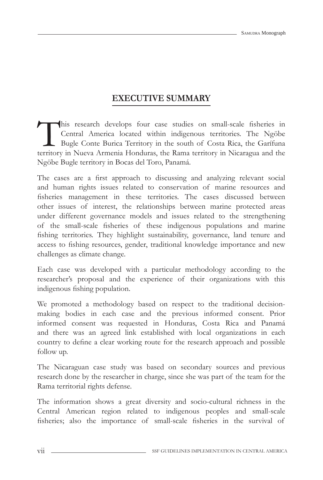# **EXECUTIVE SUMMARY**

This research develops four case studies on small-scale fisheries in Central America located within indigenous territories. The Ngöbe Bugle Conte Burica Territory in the south of Costa Rica, the Garífuna territory in Nueva Armenia Honduras, the Rama territory in Nicaragua and the Ngöbe Bugle territory in Bocas del Toro, Panamá.

The cases are a first approach to discussing and analyzing relevant social and human rights issues related to conservation of marine resources and fisheries management in these territories. The cases discussed between other issues of interest, the relationships between marine protected areas under different governance models and issues related to the strengthening of the small-scale fisheries of these indigenous populations and marine fishing territories. They highlight sustainability, governance, land tenure and access to fishing resources, gender, traditional knowledge importance and new challenges as climate change.

Each case was developed with a particular methodology according to the researcher's proposal and the experience of their organizations with this indigenous fishing population.

We promoted a methodology based on respect to the traditional decisionmaking bodies in each case and the previous informed consent. Prior informed consent was requested in Honduras, Costa Rica and Panamá and there was an agreed link established with local organizations in each country to define a clear working route for the research approach and possible follow up.

The Nicaraguan case study was based on secondary sources and previous research done by the researcher in charge, since she was part of the team for the Rama territorial rights defense.

The information shows a great diversity and socio-cultural richness in the Central American region related to indigenous peoples and small-scale fisheries; also the importance of small-scale fisheries in the survival of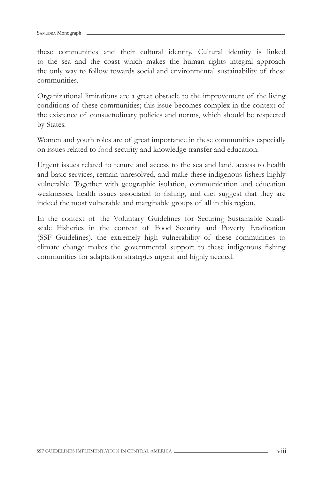these communities and their cultural identity. Cultural identity is linked to the sea and the coast which makes the human rights integral approach the only way to follow towards social and environmental sustainability of these communities.

Organizational limitations are a great obstacle to the improvement of the living conditions of these communities; this issue becomes complex in the context of the existence of consuetudinary policies and norms, which should be respected by States.

Women and youth roles are of great importance in these communities especially on issues related to food security and knowledge transfer and education.

Urgent issues related to tenure and access to the sea and land, access to health and basic services, remain unresolved, and make these indigenous fishers highly vulnerable. Together with geographic isolation, communication and education weaknesses, health issues associated to fishing, and diet suggest that they are indeed the most vulnerable and marginable groups of all in this region.

In the context of the Voluntary Guidelines for Securing Sustainable Smallscale Fisheries in the context of Food Security and Poverty Eradication (SSF Guidelines), the extremely high vulnerability of these communities to climate change makes the governmental support to these indigenous fishing communities for adaptation strategies urgent and highly needed.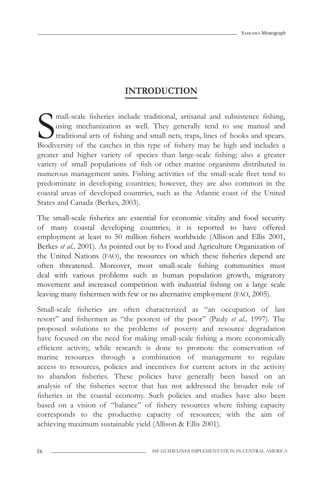# **INTRODUCTION**

S<sub>Biodi</sub> mall-scale fisheries include traditional, artisanal and subsistence fishing, using mechanization as well. They generally tend to use manual and traditional arts of fishing and small nets, traps, lines of hooks and spears. Biodiversity of the catches in this type of fishery may be high and includes a greater and higher variety of species than large-scale fishing; also a greater variety of small populations of fish or other marine organisms distributed in numerous management units. Fishing activities of the small-scale fleet tend to predominate in developing countries; however, they are also common in the coastal areas of developed countries, such as the Atlantic coast of the United States and Canada (Berkes, 2003).

The small-scale fisheries are essential for economic vitality and food security of many coastal developing countries; it is reported to have offered employment at least to 50 million fishers worldwide (Allison and Ellis 2001, Berkes *et al.,* 2001). As pointed out by to Food and Agriculture Organization of the United Nations (FAO), the resources on which these fisheries depend are often threatened. Moreover, most small-scale fishing communities must deal with various problems such as human population growth, migratory movement and increased competition with industrial fishing on a large scale leaving many fishermen with few or no alternative employment (FAO, 2005).

Small-scale fisheries are often characterized as "an occupation of last resort" and fishermen as "the poorest of the poor" (Pauly *et al.*, 1997). The proposed solutions to the problems of poverty and resource degradation have focused on the need for making small-scale fishing a more economically efficient activity, while research is done to promote the conservation of marine resources through a combination of management to regulate access to resources, policies and incentives for current actors in the activity to abandon fisheries. These policies have generally been based on an analysis of the fisheries sector that has not addressed the broader role of fisheries in the coastal economy. Such policies and studies have also been based on a vision of "balance" of fishery resources where fishing capacity corresponds to the productive capacity of resources; with the aim of achieving maximum sustainable yield (Allison & Ellis 2001).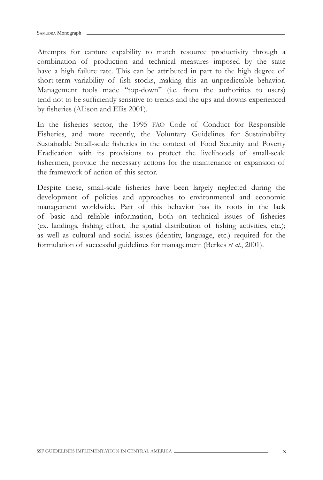Attempts for capture capability to match resource productivity through a combination of production and technical measures imposed by the state have a high failure rate. This can be attributed in part to the high degree of short-term variability of fish stocks, making this an unpredictable behavior. Management tools made "top-down" (i.e. from the authorities to users) tend not to be sufficiently sensitive to trends and the ups and downs experienced by fisheries (Allison and Ellis 2001).

In the fisheries sector, the 1995 FAO Code of Conduct for Responsible Fisheries, and more recently, the Voluntary Guidelines for Sustainability Sustainable Small-scale fisheries in the context of Food Security and Poverty Eradication with its provisions to protect the livelihoods of small-scale fishermen, provide the necessary actions for the maintenance or expansion of the framework of action of this sector.

Despite these, small-scale fisheries have been largely neglected during the development of policies and approaches to environmental and economic management worldwide. Part of this behavior has its roots in the lack of basic and reliable information, both on technical issues of fisheries (ex. landings, fishing effort, the spatial distribution of fishing activities, etc.); as well as cultural and social issues (identity, language, etc.) required for the formulation of successful guidelines for management (Berkes *et al.*, 2001).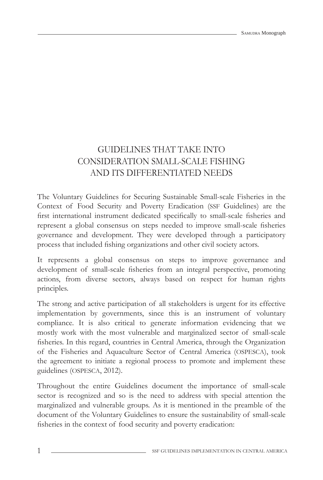# GUIDELINES THAT TAKE INTO CONSIDERATION SMALL-SCALE FISHING AND ITS DIFFERENTIATED NEEDS

The Voluntary Guidelines for Securing Sustainable Small-scale Fisheries in the Context of Food Security and Poverty Eradication (SSF Guidelines) are the first international instrument dedicated specifically to small-scale fisheries and represent a global consensus on steps needed to improve small-scale fisheries governance and development. They were developed through a participatory process that included fishing organizations and other civil society actors.

It represents a global consensus on steps to improve governance and development of small-scale fisheries from an integral perspective, promoting actions, from diverse sectors, always based on respect for human rights principles.

The strong and active participation of all stakeholders is urgent for its effective implementation by governments, since this is an instrument of voluntary compliance. It is also critical to generate information evidencing that we mostly work with the most vulnerable and marginalized sector of small-scale fisheries. In this regard, countries in Central America, through the Organization of the Fisheries and Aquaculture Sector of Central America (OSPESCA), took the agreement to initiate a regional process to promote and implement these guidelines (OSPESCA, 2012).

Throughout the entire Guidelines document the importance of small-scale sector is recognized and so is the need to address with special attention the marginalized and vulnerable groups. As it is mentioned in the preamble of the document of the Voluntary Guidelines to ensure the sustainability of small-scale fisheries in the context of food security and poverty eradication: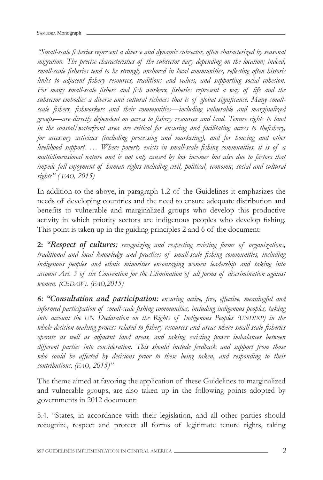*"Small-scale fi sheries represent a diverse and dynamic subsector, often characterized by seasonal migration. The precise characteristics of the subsector vary depending on the location; indeed,*  small-scale fisheries tend to be strongly anchored in local communities, reflecting often historic links to adjacent fishery resources, traditions and values, and supporting social cohesion. For many small-scale fishers and fish workers, fisheries represent a way of life and the subsector embodies a diverse and cultural richness that is of global significance. Many small*scale fi shers, fi shworkers and their communities—including vulnerable and marginalized groups—are directly dependent on access to fi shery resources and land. Tenure rights to land*  in the coastal/waterfront area are critical for ensuring and facilitating access to thefishery, *for accessory activities (including processing and marketing), and for housing and other livelihood support. … Where poverty exists in small-scale fi shing communities, it is of a multidimensional nature and is not only caused by low incomes but also due to factors that impede full enjoyment of human rights including civil, political, economic, social and cultural rights" ( FAO, 2015)* 

In addition to the above, in paragraph 1.2 of the Guidelines it emphasizes the needs of developing countries and the need to ensure adequate distribution and benefits to vulnerable and marginalized groups who develop this productive activity in which priority sectors are indigenous peoples who develop fishing. This point is taken up in the guiding principles 2 and 6 of the document:

**2:** *"Respect of cultures: recognizing and respecting existing forms of organizations, traditional and local knowledge and practices of small-scale fi shing communities, including indigenous peoples and ethnic minorities encouraging women leadership and taking into account Art. 5 of the Convention for the Elimination of all forms of discrimination against women. (CEDAW). (FAO,2015)*

*6: "Consultation and participation: ensuring active, free, effective, meaningful and informed participation of small-scale fi shing communities, including indigenous peoples, taking*  into account the UN Declaration on the Rights of Indigenous Peoples (UNDIRP) in the whole decision-making process related to fishery resources and areas where small-scale fisheries *operate as well as adjacent land areas, and taking existing power imbalances between different parties into consideration. This should include feedback and support from those*  who could be affected by decisions prior to these being taken, and responding to their *contributions. (FAO, 2015)"*

The theme aimed at favoring the application of these Guidelines to marginalized and vulnerable groups, are also taken up in the following points adopted by governments in 2012 document:

5.4. "States, in accordance with their legislation, and all other parties should recognize, respect and protect all forms of legitimate tenure rights, taking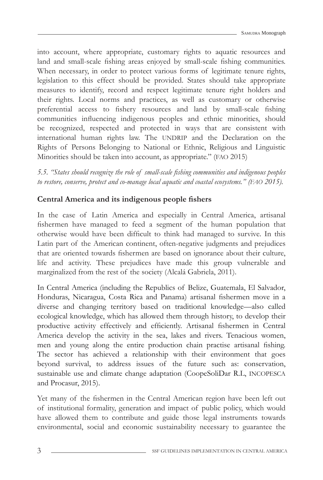into account, where appropriate, customary rights to aquatic resources and land and small-scale fishing areas enjoyed by small-scale fishing communities. When necessary, in order to protect various forms of legitimate tenure rights, legislation to this effect should be provided. States should take appropriate measures to identify, record and respect legitimate tenure right holders and their rights. Local norms and practices, as well as customary or otherwise preferential access to fishery resources and land by small-scale fishing communities influencing indigenous peoples and ethnic minorities, should be recognized, respected and protected in ways that are consistent with international human rights law. The UNDRIP and the Declaration on the Rights of Persons Belonging to National or Ethnic, Religious and Linguistic Minorities should be taken into account, as appropriate." (FAO 2015)

*5.5. "States should recognize the role of small-scale fi shing communities and indigenous peoples to restore, conserve, protect and co-manage local aquatic and coastal ecosystems." (FAO 2015).* 

# **Central America and its indigenous people fishers**

In the case of Latin America and especially in Central America, artisanal fishermen have managed to feed a segment of the human population that otherwise would have been difficult to think had managed to survive. In this Latin part of the American continent, often-negative judgments and prejudices that are oriented towards fishermen are based on ignorance about their culture, life and activity. These prejudices have made this group vulnerable and marginalized from the rest of the society (Alcalá Gabriela, 2011).

In Central America (including the Republics of Belize, Guatemala, El Salvador, Honduras, Nicaragua, Costa Rica and Panama) artisanal fishermen move in a diverse and changing territory based on traditional knowledge—also called ecological knowledge, which has allowed them through history, to develop their productive activity effectively and efficiently. Artisanal fishermen in Central America develop the activity in the sea, lakes and rivers. Tenacious women, men and young along the entire production chain practise artisanal fishing. The sector has achieved a relationship with their environment that goes beyond survival, to address issues of the future such as: conservation, sustainable use and climate change adaptation (CoopeSoliDar R.L, INCOPESCA and Procasur, 2015).

Yet many of the fishermen in the Central American region have been left out of institutional formality, generation and impact of public policy, which would have allowed them to contribute and guide those legal instruments towards environmental, social and economic sustainability necessary to guarantee the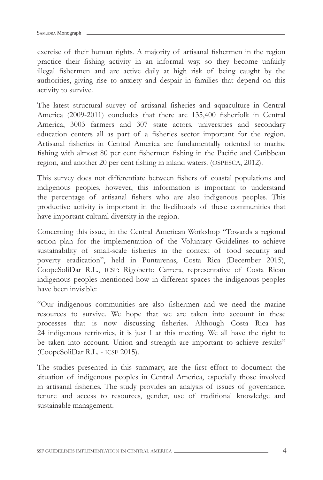exercise of their human rights. A majority of artisanal fishermen in the region practice their fishing activity in an informal way, so they become unfairly illegal fishermen and are active daily at high risk of being caught by the authorities, giving rise to anxiety and despair in families that depend on this activity to survive.

The latest structural survey of artisanal fisheries and aquaculture in Central America (2009-2011) concludes that there are 135,400 fisherfolk in Central America, 3003 farmers and 307 state actors, universities and secondary education centers all as part of a fisheries sector important for the region. Artisanal fisheries in Central America are fundamentally oriented to marine fishing with almost 80 per cent fishermen fishing in the Pacific and Caribbean region, and another 20 per cent fishing in inland waters. (OSPESCA, 2012).

This survey does not differentiate between fishers of coastal populations and indigenous peoples, however, this information is important to understand the percentage of artisanal fishers who are also indigenous peoples. This productive activity is important in the livelihoods of these communities that have important cultural diversity in the region.

Concerning this issue, in the Central American Workshop "Towards a regional action plan for the implementation of the Voluntary Guidelines to achieve sustainability of small-scale fisheries in the context of food security and poverty eradication", held in Puntarenas, Costa Rica (December 2015), CoopeSoliDar R.L., ICSF: Rigoberto Carrera, representative of Costa Rican indigenous peoples mentioned how in different spaces the indigenous peoples have been invisible:

"Our indigenous communities are also fishermen and we need the marine resources to survive. We hope that we are taken into account in these processes that is now discussing fisheries. Although Costa Rica has 24 indigenous territories, it is just I at this meeting. We all have the right to be taken into account. Union and strength are important to achieve results" (CoopeSoliDar R.L. - ICSF 2015).

The studies presented in this summary, are the first effort to document the situation of indigenous peoples in Central America, especially those involved in artisanal fisheries. The study provides an analysis of issues of governance, tenure and access to resources, gender, use of traditional knowledge and sustainable management.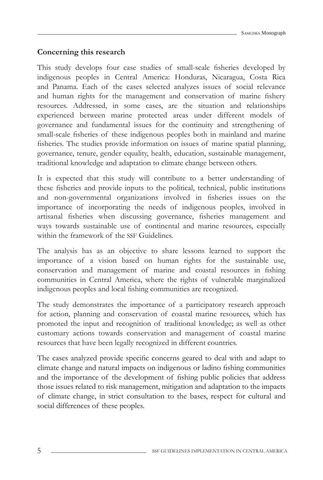### **Concerning this research**

This study develops four case studies of small-scale fisheries developed by indigenous peoples in Central America: Honduras, Nicaragua, Costa Rica and Panama. Each of the cases selected analyzes issues of social relevance and human rights for the management and conservation of marine fishery resources. Addressed, in some cases, are the situation and relationships experienced between marine protected areas under different models of governance and fundamental issues for the continuity and strengthening of small-scale fisheries of these indigenous peoples both in mainland and marine fisheries. The studies provide information on issues of marine spatial planning, governance, tenure, gender equality, health, education, sustainable management, traditional knowledge and adaptation to climate change between others.

It is expected that this study will contribute to a better understanding of these fisheries and provide inputs to the political, technical, public institutions and non-governmental organizations involved in fisheries issues on the importance of incorporating the needs of indigenous peoples, involved in artisanal fisheries when discussing governance, fisheries management and ways towards sustainable use of continental and marine resources, especially within the framework of the SSF Guidelines.

The analysis has as an objective to share lessons learned to support the importance of a vision based on human rights for the sustainable use, conservation and management of marine and coastal resources in fishing communities in Central America, where the rights of vulnerable marginalized indigenous peoples and local fishing communities are recognized.

The study demonstrates the importance of a participatory research approach for action, planning and conservation of coastal marine resources, which has promoted the input and recognition of traditional knowledge; as well as other customary actions towards conservation and management of coastal marine resources that have been legally recognized in different countries.

The cases analyzed provide specific concerns geared to deal with and adapt to climate change and natural impacts on indigenous or ladino fishing communities and the importance of the development of fishing public policies that address those issues related to risk management, mitigation and adaptation to the impacts of climate change, in strict consultation to the bases, respect for cultural and social differences of these peoples.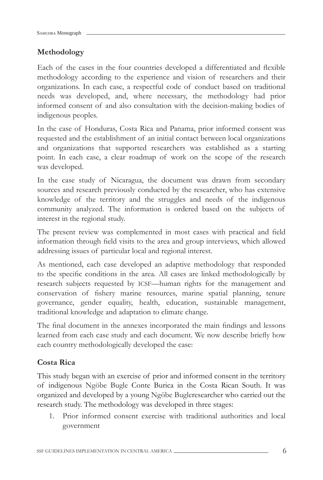## **Methodology**

Each of the cases in the four countries developed a differentiated and flexible methodology according to the experience and vision of researchers and their organizations. In each case, a respectful code of conduct based on traditional needs was developed, and, where necessary, the methodology had prior informed consent of and also consultation with the decision-making bodies of indigenous peoples.

In the case of Honduras, Costa Rica and Panama, prior informed consent was requested and the establishment of an initial contact between local organizations and organizations that supported researchers was established as a starting point. In each case, a clear roadmap of work on the scope of the research was developed.

In the case study of Nicaragua, the document was drawn from secondary sources and research previously conducted by the researcher, who has extensive knowledge of the territory and the struggles and needs of the indigenous community analyzed. The information is ordered based on the subjects of interest in the regional study.

The present review was complemented in most cases with practical and field information through field visits to the area and group interviews, which allowed addressing issues of particular local and regional interest.

As mentioned, each case developed an adaptive methodology that responded to the specific conditions in the area. All cases are linked methodologically by research subjects requested by ICSF—human rights for the management and conservation of fishery marine resources, marine spatial planning, tenure governance, gender equality, health, education, sustainable management, traditional knowledge and adaptation to climate change.

The final document in the annexes incorporated the main findings and lessons learned from each case study and each document. We now describe briefly how each country methodologically developed the case:

### **Costa Rica**

This study began with an exercise of prior and informed consent in the territory of indigenous Ngöbe Bugle Conte Burica in the Costa Rican South. It was organized and developed by a young Ngöbe Bugleresearcher who carried out the research study. The methodology was developed in three stages:

1. Prior informed consent exercise with traditional authorities and local government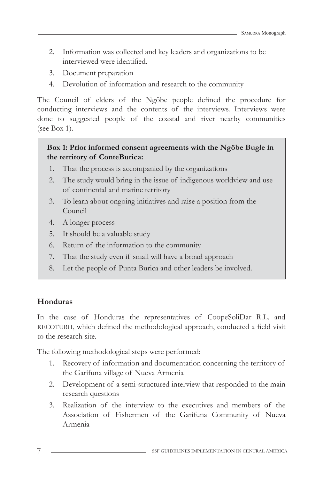- 2. Information was collected and key leaders and organizations to be interviewed were identified.
- 3. Document preparation
- 4. Devolution of information and research to the community

The Council of elders of the Ngöbe people defined the procedure for conducting interviews and the contents of the interviews. Interviews were done to suggested people of the coastal and river nearby communities (see Box 1).

### **Box 1: Prior informed consent agreements with the Ngöbe Bugle in the territory of ConteBurica:**

- 1. That the process is accompanied by the organizations
- 2. The study would bring in the issue of indigenous worldview and use of continental and marine territory
- 3. To learn about ongoing initiatives and raise a position from the Council
- 4. A longer process
- 5. It should be a valuable study
- 6. Return of the information to the community
- 7. That the study even if small will have a broad approach
- 8. Let the people of Punta Burica and other leaders be involved.

#### **Honduras**

In the case of Honduras the representatives of CoopeSoliDar R.L. and RECOTURH, which defined the methodological approach, conducted a field visit to the research site.

The following methodological steps were performed:

- 1. Recovery of information and documentation concerning the territory of the Garifuna village of Nueva Armenia
- 2. Development of a semi-structured interview that responded to the main research questions
- 3. Realization of the interview to the executives and members of the Association of Fishermen of the Garifuna Community of Nueva Armenia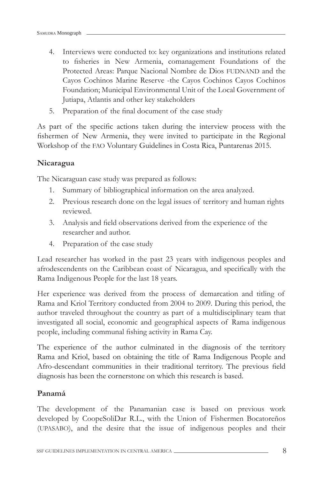- 4. Interviews were conducted to: key organizations and institutions related to fisheries in New Armenia, comanagement Foundations of the Protected Areas: Parque Nacional Nombre de Dios FUDNAND and the Cayos Cochinos Marine Reserve -the Cayos Cochinos Cayos Cochinos Foundation; Municipal Environmental Unit of the Local Government of Jutiapa, Atlantis and other key stakeholders
- 5. Preparation of the final document of the case study

As part of the specific actions taken during the interview process with the fishermen of New Armenia, they were invited to participate in the Regional Workshop of the FAO Voluntary Guidelines in Costa Rica, Puntarenas 2015.

#### **Nicaragua**

The Nicaraguan case study was prepared as follows:

- 1. Summary of bibliographical information on the area analyzed.
- 2. Previous research done on the legal issues of territory and human rights reviewed.
- 3. Analysis and field observations derived from the experience of the researcher and author.
- 4. Preparation of the case study

Lead researcher has worked in the past 23 years with indigenous peoples and afrodescendents on the Caribbean coast of Nicaragua, and specifically with the Rama Indigenous People for the last 18 years.

Her experience was derived from the process of demarcation and titling of Rama and Kriol Territory conducted from 2004 to 2009. During this period, the author traveled throughout the country as part of a multidisciplinary team that investigated all social, economic and geographical aspects of Rama indigenous people, including communal fishing activity in Rama Cay.

The experience of the author culminated in the diagnosis of the territory Rama and Kriol, based on obtaining the title of Rama Indigenous People and Afro-descendant communities in their traditional territory. The previous field diagnosis has been the cornerstone on which this research is based.

#### **Panamá**

The development of the Panamanian case is based on previous work developed by CoopeSoliDar R.L., with the Union of Fishermen Bocatoreños (UPASABO), and the desire that the issue of indigenous peoples and their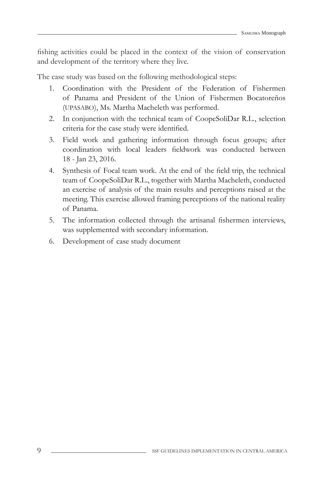fishing activities could be placed in the context of the vision of conservation and development of the territory where they live.

The case study was based on the following methodological steps:

- 1. Coordination with the President of the Federation of Fishermen of Panama and President of the Union of Fishermen Bocatoreños (UPASABO), Ms. Martha Macheleth was performed.
- 2. In conjunction with the technical team of CoopeSoliDar R.L., selection criteria for the case study were identified.
- 3. Field work and gathering information through focus groups; after coordination with local leaders fieldwork was conducted between 18 - Jan 23, 2016.
- 4. Synthesis of Focal team work. At the end of the field trip, the technical team of CoopeSoliDar R.L., together with Martha Macheleth, conducted an exercise of analysis of the main results and perceptions raised at the meeting. This exercise allowed framing perceptions of the national reality of Panama.
- 5. The information collected through the artisanal fishermen interviews, was supplemented with secondary information.
- 6. Development of case study document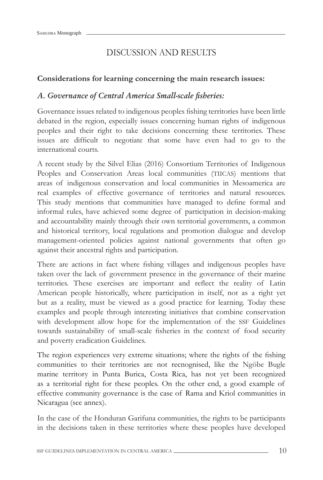# DISCUSSION AND RESULTS

#### **Considerations for learning concerning the main research issues:**

### *A. Governance of Central America Small-scale fi sheries:*

Governance issues related to indigenous peoples fishing territories have been little debated in the region, especially issues concerning human rights of indigenous peoples and their right to take decisions concerning these territories. These issues are difficult to negotiate that some have even had to go to the international courts.

A recent study by the Silvel Elias (2016) Consortium Territories of Indigenous Peoples and Conservation Areas local communities (TIICAS) mentions that areas of indigenous conservation and local communities in Mesoamerica are real examples of effective governance of territories and natural resources. This study mentions that communities have managed to define formal and informal rules, have achieved some degree of participation in decision-making and accountability mainly through their own territorial governments, a common and historical territory, local regulations and promotion dialogue and develop management-oriented policies against national governments that often go against their ancestral rights and participation.

There are actions in fact where fishing villages and indigenous peoples have taken over the lack of government presence in the governance of their marine territories. These exercises are important and reflect the reality of Latin American people historically, where participation in itself, not as a right yet but as a reality, must be viewed as a good practice for learning. Today these examples and people through interesting initiatives that combine conservation with development allow hope for the implementation of the SSF Guidelines towards sustainability of small-scale fisheries in the context of food security and poverty eradication Guidelines.

The region experiences very extreme situations; where the rights of the fishing communities to their territories are not recnognised, like the Ngöbe Bugle marine territory in Punta Burica, Costa Rica, has not yet been recognized as a territorial right for these peoples. On the other end, a good example of effective community governance is the case of Rama and Kriol communities in Nicaragua (see annex).

In the case of the Honduran Garifuna communities, the rights to be participants in the decisions taken in these territories where these peoples have developed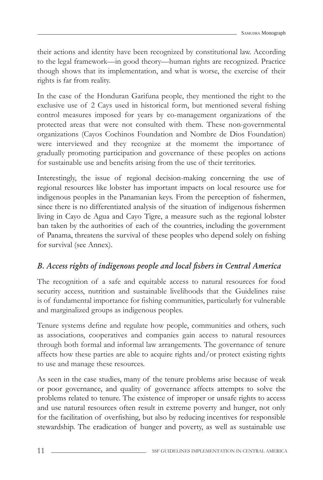their actions and identity have been recognized by constitutional law. According to the legal framework—in good theory—human rights are recognized. Practice though shows that its implementation, and what is worse, the exercise of their rights is far from reality.

In the case of the Honduran Garifuna people, they mentioned the right to the exclusive use of 2 Cays used in historical form, but mentioned several fishing control measures imposed for years by co-management organizations of the protected areas that were not consulted with them. These non-governmental organizations (Cayos Cochinos Foundation and Nombre de Dios Foundation) were interviewed and they recognize at the momemt the importance of gradually promoting participation and governance of these peoples on actions for sustainable use and benefits arising from the use of their territories.

Interestingly, the issue of regional decision-making concerning the use of regional resources like lobster has important impacts on local resource use for indigenous peoples in the Panamanian keys. From the perception of fishermen, since there is no differentiated analysis of the situation of indigenous fishermen living in Cayo de Agua and Cayo Tigre, a measure such as the regional lobster ban taken by the authorities of each of the countries, including the government of Panama, threatens the survival of these peoples who depend solely on fishing for survival (see Annex).

# *B. Access rights of indigenous people and local fi shers in Central America*

The recognition of a safe and equitable access to natural resources for food security access, nutrition and sustainable livelihoods that the Guidelines raise is of fundamental importance for fishing communities, particularly for vulnerable and marginalized groups as indigenous peoples.

Tenure systems define and regulate how people, communities and others, such as associations, cooperatives and companies gain access to natural resources through both formal and informal law arrangements. The governance of tenure affects how these parties are able to acquire rights and/or protect existing rights to use and manage these resources.

As seen in the case studies, many of the tenure problems arise because of weak or poor governance, and quality of governance affects attempts to solve the problems related to tenure. The existence of improper or unsafe rights to access and use natural resources often result in extreme poverty and hunger, not only for the facilitation of overfishing, but also by reducing incentives for responsible stewardship. The eradication of hunger and poverty, as well as sustainable use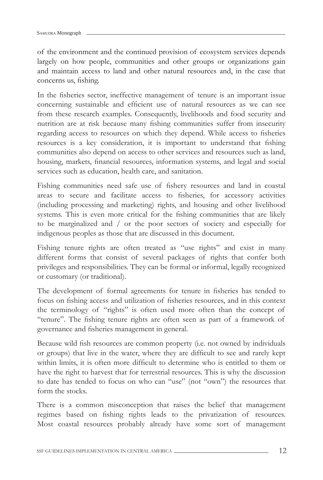of the environment and the continued provision of ecosystem services depends largely on how people, communities and other groups or organizations gain and maintain access to land and other natural resources and, in the case that concerns us, fishing.

In the fisheries sector, ineffective management of tenure is an important issue concerning sustainable and efficient use of natural resources as we can see from these research examples. Consequently, livelihoods and food security and nutrition are at risk because many fishing communities suffer from insecurity regarding access to resources on which they depend. While access to fisheries resources is a key consideration, it is important to understand that fishing communities also depend on access to other services and resources such as land, housing, markets, financial resources, information systems, and legal and social services such as education, health care, and sanitation.

Fishing communities need safe use of fishery resources and land in coastal areas to secure and facilitate access to fisheries, for accessory activities (including processing and marketing) rights, and housing and other livelihood systems. This is even more critical for the fishing communities that are likely to be marginalized and / or the poor sectors of society and especially for indigenous peoples as those that are discussed in this document.

Fishing tenure rights are often treated as "use rights" and exist in many different forms that consist of several packages of rights that confer both privileges and responsibilities. They can be formal or informal, legally recognized or customary (or traditional).

The development of formal agreements for tenure in fisheries has tended to focus on fishing access and utilization of fisheries resources, and in this context the terminology of "rights" is often used more often than the concept of "tenure". The fishing tenure rights are often seen as part of a framework of governance and fisheries management in general.

Because wild fish resources are common property (i.e. not owned by individuals or groups) that live in the water, where they are difficult to see and rarely kept within limits, it is often more difficult to determine who is entitled to them or have the right to harvest that for terrestrial resources. This is why the discussion to date has tended to focus on who can "use" (not "own") the resources that form the stocks.

There is a common misconception that raises the belief that management regimes based on fishing rights leads to the privatization of resources. Most coastal resources probably already have some sort of management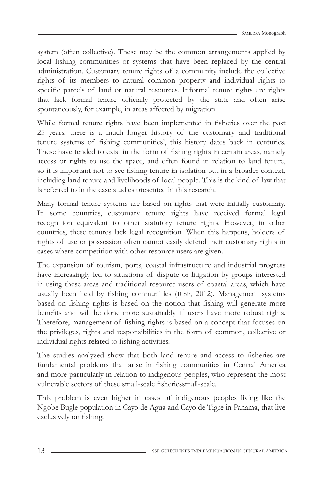system (often collective). These may be the common arrangements applied by local fishing communities or systems that have been replaced by the central administration. Customary tenure rights of a community include the collective rights of its members to natural common property and individual rights to specific parcels of land or natural resources. Informal tenure rights are rights that lack formal tenure officially protected by the state and often arise spontaneously, for example, in areas affected by migration.

While formal tenure rights have been implemented in fisheries over the past 25 years, there is a much longer history of the customary and traditional tenure systems of fishing communities', this history dates back in centuries. These have tended to exist in the form of fishing rights in certain areas, namely access or rights to use the space, and often found in relation to land tenure, so it is important not to see fishing tenure in isolation but in a broader context, including land tenure and livelihoods of local people. This is the kind of law that is referred to in the case studies presented in this research.

Many formal tenure systems are based on rights that were initially customary. In some countries, customary tenure rights have received formal legal recognition equivalent to other statutory tenure rights. However, in other countries, these tenures lack legal recognition. When this happens, holders of rights of use or possession often cannot easily defend their customary rights in cases where competition with other resource users are given.

The expansion of tourism, ports, coastal infrastructure and industrial progress have increasingly led to situations of dispute or litigation by groups interested in using these areas and traditional resource users of coastal areas, which have usually been held by fishing communities (ICSF, 2012). Management systems based on fishing rights is based on the notion that fishing will generate more benefits and will be done more sustainably if users have more robust rights. Therefore, management of fishing rights is based on a concept that focuses on the privileges, rights and responsibilities in the form of common, collective or individual rights related to fishing activities.

The studies analyzed show that both land tenure and access to fisheries are fundamental problems that arise in fishing communities in Central America and more particularly in relation to indigenous peoples, who represent the most vulnerable sectors of these small-scale fisheriessmall-scale.

This problem is even higher in cases of indigenous peoples living like the Ngöbe Bugle population in Cayo de Agua and Cayo de Tigre in Panama, that live exclusively on fishing.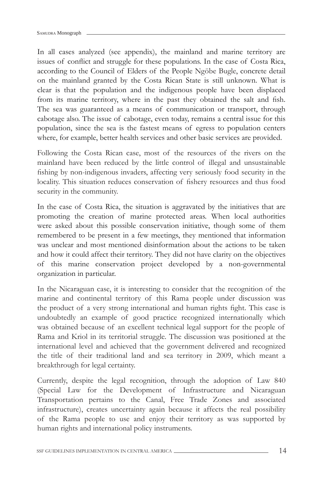In all cases analyzed (see appendix), the mainland and marine territory are issues of conflict and struggle for these populations. In the case of Costa Rica, according to the Council of Elders of the People Ngöbe Bugle, concrete detail on the mainland granted by the Costa Rican State is still unknown. What is clear is that the population and the indigenous people have been displaced from its marine territory, where in the past they obtained the salt and fish. The sea was guaranteed as a means of communication or transport, through cabotage also. The issue of cabotage, even today, remains a central issue for this population, since the sea is the fastest means of egress to population centers where, for example, better health services and other basic services are provided.

Following the Costa Rican case, most of the resources of the rivers on the mainland have been reduced by the little control of illegal and unsustainable fishing by non-indigenous invaders, affecting very seriously food security in the locality. This situation reduces conservation of fishery resources and thus food security in the community.

In the case of Costa Rica, the situation is aggravated by the initiatives that are promoting the creation of marine protected areas. When local authorities were asked about this possible conservation initiative, though some of them remembered to be present in a few meetings, they mentioned that information was unclear and most mentioned disinformation about the actions to be taken and how it could affect their territory. They did not have clarity on the objectives of this marine conservation project developed by a non-governmental organization in particular.

In the Nicaraguan case, it is interesting to consider that the recognition of the marine and continental territory of this Rama people under discussion was the product of a very strong international and human rights fight. This case is undoubtedly an example of good practice recognized internationally which was obtained because of an excellent technical legal support for the people of Rama and Kriol in its territorial struggle. The discussion was positioned at the international level and achieved that the government delivered and recognized the title of their traditional land and sea territory in 2009, which meant a breakthrough for legal certainty.

Currently, despite the legal recognition, through the adoption of Law 840 (Special Law for the Development of Infrastructure and Nicaraguan Transportation pertains to the Canal, Free Trade Zones and associated infrastructure), creates uncertainty again because it affects the real possibility of the Rama people to use and enjoy their territory as was supported by human rights and international policy instruments.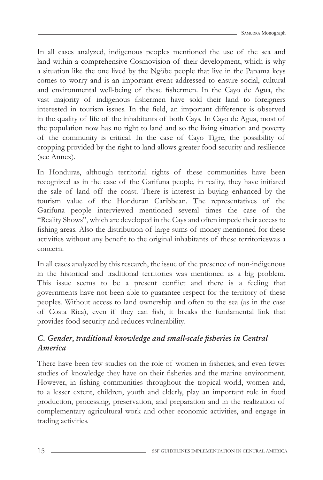In all cases analyzed, indigenous peoples mentioned the use of the sea and land within a comprehensive Cosmovision of their development, which is why a situation like the one lived by the Ngöbe people that live in the Panama keys comes to worry and is an important event addressed to ensure social, cultural and environmental well-being of these fishermen. In the Cayo de Agua, the vast majority of indigenous fishermen have sold their land to foreigners interested in tourism issues. In the field, an important difference is observed in the quality of life of the inhabitants of both Cays. In Cayo de Agua, most of the population now has no right to land and so the living situation and poverty of the community is critical. In the case of Cayo Tigre, the possibility of cropping provided by the right to land allows greater food security and resilience (see Annex).

In Honduras, although territorial rights of these communities have been recognized as in the case of the Garifuna people, in reality, they have initiated the sale of land off the coast. There is interest in buying enhanced by the tourism value of the Honduran Caribbean. The representatives of the Garifuna people interviewed mentioned several times the case of the "Reality Shows", which are developed in the Cays and often impede their access to fishing areas. Also the distribution of large sums of money mentioned for these activities without any benefit to the original inhabitants of these territorieswas a concern.

In all cases analyzed by this research, the issue of the presence of non-indigenous in the historical and traditional territories was mentioned as a big problem. This issue seems to be a present conflict and there is a feeling that governments have not been able to guarantee respect for the territory of these peoples. Without access to land ownership and often to the sea (as in the case of Costa Rica), even if they can fish, it breaks the fundamental link that provides food security and reduces vulnerability.

# *C. Gender, traditional knowledge and small-scale fi sheries in Central America*

There have been few studies on the role of women in fisheries, and even fewer studies of knowledge they have on their fisheries and the marine environment. However, in fishing communities throughout the tropical world, women and, to a lesser extent, children, youth and elderly, play an important role in food production, processing, preservation, and preparation and in the realization of complementary agricultural work and other economic activities, and engage in trading activities.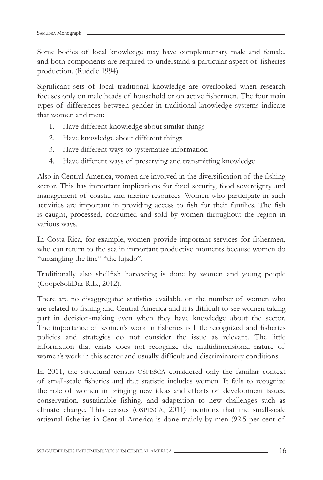Some bodies of local knowledge may have complementary male and female, and both components are required to understand a particular aspect of fisheries production. (Ruddle 1994).

Significant sets of local traditional knowledge are overlooked when research focuses only on male heads of household or on active fishermen. The four main types of differences between gender in traditional knowledge systems indicate that women and men:

- 1. Have different knowledge about similar things
- 2. Have knowledge about different things
- 3. Have different ways to systematize information
- 4. Have different ways of preserving and transmitting knowledge

Also in Central America, women are involved in the diversification of the fishing sector. This has important implications for food security, food sovereignty and management of coastal and marine resources. Women who participate in such activities are important in providing access to fish for their families. The fish is caught, processed, consumed and sold by women throughout the region in various ways.

In Costa Rica, for example, women provide important services for fishermen, who can return to the sea in important productive moments because women do "untangling the line" "the lujado".

Traditionally also shellfish harvesting is done by women and young people (CoopeSoliDar R.L., 2012).

There are no disaggregated statistics available on the number of women who are related to fishing and Central America and it is difficult to see women taking part in decision-making even when they have knowledge about the sector. The importance of women's work in fisheries is little recognized and fisheries policies and strategies do not consider the issue as relevant. The little information that exists does not recognize the multidimensional nature of women's work in this sector and usually difficult and discriminatory conditions.

In 2011, the structural census OSPESCA considered only the familiar context of small-scale fisheries and that statistic includes women. It fails to recognize the role of women in bringing new ideas and efforts on development issues, conservation, sustainable fishing, and adaptation to new challenges such as climate change. This census (OSPESCA, 2011) mentions that the small-scale artisanal fisheries in Central America is done mainly by men (92.5 per cent of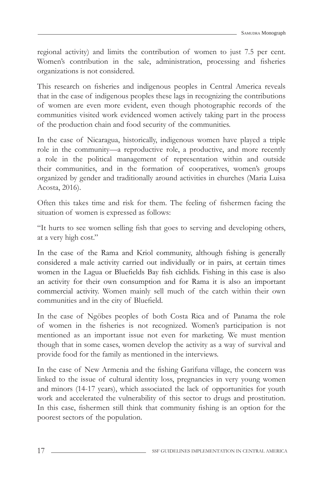regional activity) and limits the contribution of women to just 7.5 per cent. Women's contribution in the sale, administration, processing and fisheries organizations is not considered.

This research on fisheries and indigenous peoples in Central America reveals that in the case of indigenous peoples these lags in recognizing the contributions of women are even more evident, even though photographic records of the communities visited work evidenced women actively taking part in the process of the production chain and food security of the communities.

In the case of Nicaragua, historically, indigenous women have played a triple role in the community—a reproductive role, a productive, and more recently a role in the political management of representation within and outside their communities, and in the formation of cooperatives, women's groups organized by gender and traditionally around activities in churches (Maria Luisa Acosta, 2016).

Often this takes time and risk for them. The feeling of fishermen facing the situation of women is expressed as follows:

"It hurts to see women selling fish that goes to serving and developing others, at a very high cost."

In the case of the Rama and Kriol community, although fishing is generally considered a male activity carried out individually or in pairs, at certain times women in the Lagua or Bluefields Bay fish cichlids. Fishing in this case is also an activity for their own consumption and for Rama it is also an important commercial activity. Women mainly sell much of the catch within their own communities and in the city of Bluefield.

In the case of Ngöbes peoples of both Costa Rica and of Panama the role of women in the fisheries is not recognized. Women's participation is not mentioned as an important issue not even for marketing. We must mention though that in some cases, women develop the activity as a way of survival and provide food for the family as mentioned in the interviews.

In the case of New Armenia and the fishing Garifuna village, the concern was linked to the issue of cultural identity loss, pregnancies in very young women and minors (14-17 years), which associated the lack of opportunities for youth work and accelerated the vulnerability of this sector to drugs and prostitution. In this case, fishermen still think that community fishing is an option for the poorest sectors of the population.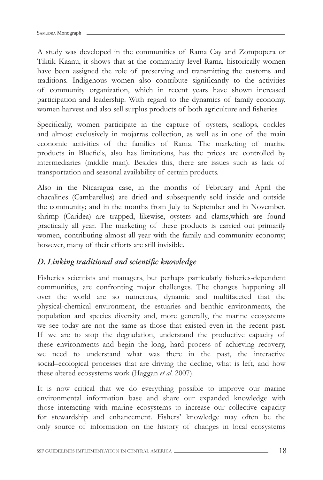A study was developed in the communities of Rama Cay and Zompopera or Tiktik Kaanu, it shows that at the community level Rama, historically women have been assigned the role of preserving and transmitting the customs and traditions. Indigenous women also contribute significantly to the activities of community organization, which in recent years have shown increased participation and leadership. With regard to the dynamics of family economy, women harvest and also sell surplus products of both agriculture and fisheries.

Specifically, women participate in the capture of oysters, scallops, cockles and almost exclusively in mojarras collection, as well as in one of the main economic activities of the families of Rama. The marketing of marine products in Bluefiels, also has limitations, has the prices are controlled by intermediaries (middle man). Besides this, there are issues such as lack of transportation and seasonal availability of certain products.

Also in the Nicaragua case, in the months of February and April the chacalines (Cambarellus) are dried and subsequently sold inside and outside the community; and in the months from July to September and in November, shrimp (Caridea) are trapped, likewise, oysters and clams,which are found practically all year. The marketing of these products is carried out primarily women, contributing almost all year with the family and community economy; however, many of their efforts are still invisible.

### *D. Linking traditional and scientific knowledge*

Fisheries scientists and managers, but perhaps particularly fisheries-dependent communities, are confronting major challenges. The changes happening all over the world are so numerous, dynamic and multifaceted that the physical-chemical environment, the estuaries and benthic environments, the population and species diversity and, more generally, the marine ecosystems we see today are not the same as those that existed even in the recent past. If we are to stop the degradation, understand the productive capacity of these environments and begin the long, hard process of achieving recovery, we need to understand what was there in the past, the interactive social–ecological processes that are driving the decline, what is left, and how these altered ecosystems work (Haggan *et al*. 2007).

It is now critical that we do everything possible to improve our marine environmental information base and share our expanded knowledge with those interacting with marine ecosystems to increase our collective capacity for stewardship and enhancement. Fishers' knowledge may often be the only source of information on the history of changes in local ecosystems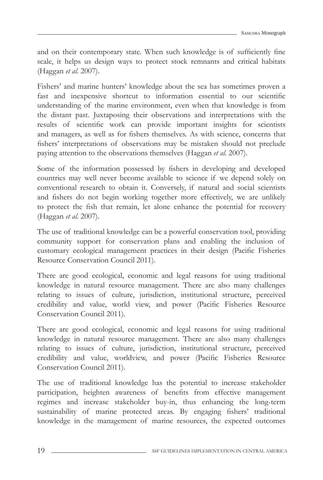and on their contemporary state. When such knowledge is of sufficiently fine scale, it helps us design ways to protect stock remnants and critical habitats (Haggan *et al*. 2007).

Fishers' and marine hunters' knowledge about the sea has sometimes proven a fast and inexpensive shortcut to information essential to our scientific understanding of the marine environment, even when that knowledge is from the distant past. Juxtaposing their observations and interpretations with the results of scientific work can provide important insights for scientists and managers, as well as for fishers themselves. As with science, concerns that fishers' interpretations of observations may be mistaken should not preclude paying attention to the observations themselves (Haggan *et al*. 2007).

Some of the information possessed by fishers in developing and developed countries may well never become available to science if we depend solely on conventional research to obtain it. Conversely, if natural and social scientists and fishers do not begin working together more effectively, we are unlikely to protect the fish that remain, let alone enhance the potential for recovery (Haggan *et al.* 2007).

The use of traditional knowledge can be a powerful conservation tool, providing community support for conservation plans and enabling the inclusion of customary ecological management practices in their design (Pacific Fisheries Resource Conservation Council 2011).

There are good ecological, economic and legal reasons for using traditional knowledge in natural resource management. There are also many challenges relating to issues of culture, jurisdiction, institutional structure, perceived credibility and value, world view, and power (Pacific Fisheries Resource Conservation Council 2011).

There are good ecological, economic and legal reasons for using traditional knowledge in natural resource management. There are also many challenges relating to issues of culture, jurisdiction, institutional structure, perceived credibility and value, worldview, and power (Pacific Fisheries Resource Conservation Council 2011).

The use of traditional knowledge has the potential to increase stakeholder participation, heighten awareness of benefits from effective management regimes and increase stakeholder buy-in, thus enhancing the long-term sustainability of marine protected areas. By engaging fishers' traditional knowledge in the management of marine resources, the expected outcomes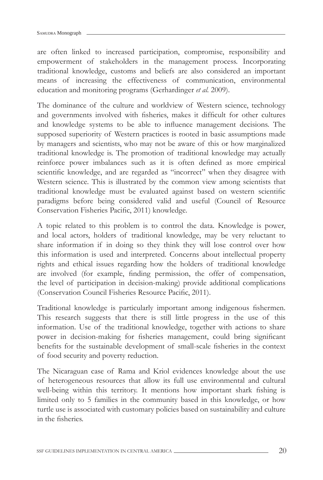are often linked to increased participation, compromise, responsibility and empowerment of stakeholders in the management process. Incorporating traditional knowledge, customs and beliefs are also considered an important means of increasing the effectiveness of communication, environmental education and monitoring programs (Gerhardinger *et al.* 2009).

The dominance of the culture and worldview of Western science, technology and governments involved with fisheries, makes it difficult for other cultures and knowledge systems to be able to influence management decisions. The supposed superiority of Western practices is rooted in basic assumptions made by managers and scientists, who may not be aware of this or how marginalized traditional knowledge is. The promotion of traditional knowledge may actually reinforce power imbalances such as it is often defined as more empirical scientific knowledge, and are regarded as "incorrect" when they disagree with Western science. This is illustrated by the common view among scientists that traditional knowledge must be evaluated against based on western scientific paradigms before being considered valid and useful (Council of Resource Conservation Fisheries Pacific, 2011) knowledge.

A topic related to this problem is to control the data. Knowledge is power, and local actors, holders of traditional knowledge, may be very reluctant to share information if in doing so they think they will lose control over how this information is used and interpreted. Concerns about intellectual property rights and ethical issues regarding how the holders of traditional knowledge are involved (for example, finding permission, the offer of compensation, the level of participation in decision-making) provide additional complications (Conservation Council Fisheries Resource Pacific, 2011).

Traditional knowledge is particularly important among indigenous fishermen. This research suggests that there is still little progress in the use of this information. Use of the traditional knowledge, together with actions to share power in decision-making for fisheries management, could bring significant benefits for the sustainable development of small-scale fisheries in the context of food security and poverty reduction.

The Nicaraguan case of Rama and Kriol evidences knowledge about the use of heterogeneous resources that allow its full use environmental and cultural well-being within this territory. It mentions how important shark fishing is limited only to 5 families in the community based in this knowledge, or how turtle use is associated with customary policies based on sustainability and culture in the fisheries.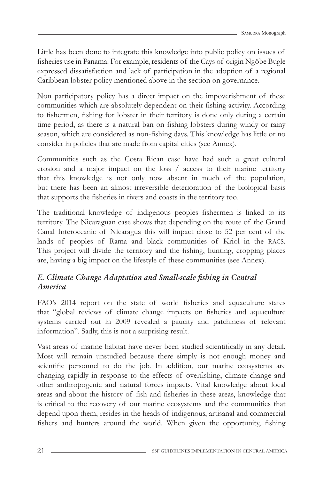Little has been done to integrate this knowledge into public policy on issues of fisheries use in Panama. For example, residents of the Cays of origin Ngöbe Bugle expressed dissatisfaction and lack of participation in the adoption of a regional Caribbean lobster policy mentioned above in the section on governance.

Non participatory policy has a direct impact on the impoverishment of these communities which are absolutely dependent on their fishing activity. According to fishermen, fishing for lobster in their territory is done only during a certain time period, as there is a natural ban on fishing lobsters during windy or rainy season, which are considered as non-fishing days. This knowledge has little or no consider in policies that are made from capital cities (see Annex).

Communities such as the Costa Rican case have had such a great cultural erosion and a major impact on the loss / access to their marine territory that this knowledge is not only now absent in much of the population, but there has been an almost irreversible deterioration of the biological basis that supports the fisheries in rivers and coasts in the territory too.

The traditional knowledge of indigenous peoples fishermen is linked to its territory. The Nicaraguan case shows that depending on the route of the Grand Canal Interoceanic of Nicaragua this will impact close to 52 per cent of the lands of peoples of Rama and black communities of Kriol in the RACS. This project will divide the territory and the fishing, hunting, cropping places are, having a big impact on the lifestyle of these communities (see Annex).

# *E. Climate Change Adaptation and Small-scale fishing in Central America*

FAO's 2014 report on the state of world fisheries and aquaculture states that "global reviews of climate change impacts on fisheries and aquaculture systems carried out in 2009 revealed a paucity and patchiness of relevant information". Sadly, this is not a surprising result.

Vast areas of marine habitat have never been studied scientifically in any detail. Most will remain unstudied because there simply is not enough money and scientific personnel to do the job. In addition, our marine ecosystems are changing rapidly in response to the effects of overfishing, climate change and other anthropogenic and natural forces impacts. Vital knowledge about local areas and about the history of fish and fisheries in these areas, knowledge that is critical to the recovery of our marine ecosystems and the communities that depend upon them, resides in the heads of indigenous, artisanal and commercial fishers and hunters around the world. When given the opportunity, fishing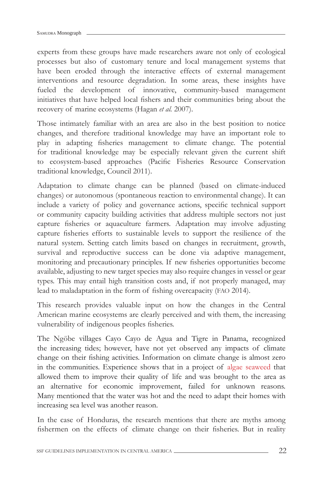experts from these groups have made researchers aware not only of ecological processes but also of customary tenure and local management systems that have been eroded through the interactive effects of external management interventions and resource degradation. In some areas, these insights have fueled the development of innovative, community-based management initiatives that have helped local fishers and their communities bring about the recovery of marine ecosystems (Hagan *et al.* 2007).

Those intimately familiar with an area are also in the best position to notice changes, and therefore traditional knowledge may have an important role to play in adapting fisheries management to climate change. The potential for traditional knowledge may be especially relevant given the current shift to ecosystem-based approaches (Pacific Fisheries Resource Conservation traditional knowledge, Council 2011).

Adaptation to climate change can be planned (based on climate-induced changes) or autonomous (spontaneous reaction to environmental change). It can include a variety of policy and governance actions, specific technical support or community capacity building activities that address multiple sectors not just capture fisheries or aquaculture farmers. Adaptation may involve adjusting capture fisheries efforts to sustainable levels to support the resilience of the natural system. Setting catch limits based on changes in recruitment, growth, survival and reproductive success can be done via adaptive management, monitoring and precautionary principles. If new fisheries opportunities become available, adjusting to new target species may also require changes in vessel or gear types. This may entail high transition costs and, if not properly managed, may lead to maladaptation in the form of fishing overcapacity (FAO 2014).

This research provides valuable input on how the changes in the Central American marine ecosystems are clearly perceived and with them, the increasing vulnerability of indigenous peoples fisheries.

The Ngöbe villages Cayo Cayo de Agua and Tigre in Panama, recognized the increasing tides; however, have not yet observed any impacts of climate change on their fishing activities. Information on climate change is almost zero in the communities. Experience shows that in a project of algae seaweed that allowed them to improve their quality of life and was brought to the area as an alternative for economic improvement, failed for unknown reasons. Many mentioned that the water was hot and the need to adapt their homes with increasing sea level was another reason.

In the case of Honduras, the research mentions that there are myths among fishermen on the effects of climate change on their fisheries. But in reality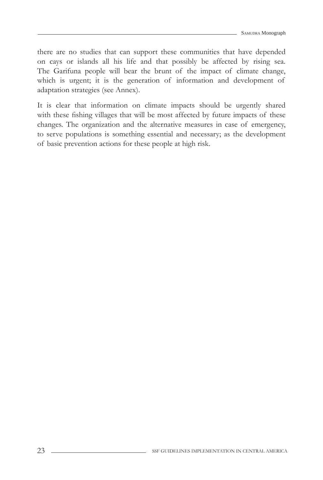there are no studies that can support these communities that have depended on cays or islands all his life and that possibly be affected by rising sea. The Garifuna people will bear the brunt of the impact of climate change, which is urgent; it is the generation of information and development of adaptation strategies (see Annex).

It is clear that information on climate impacts should be urgently shared with these fishing villages that will be most affected by future impacts of these changes. The organization and the alternative measures in case of emergency, to serve populations is something essential and necessary; as the development of basic prevention actions for these people at high risk.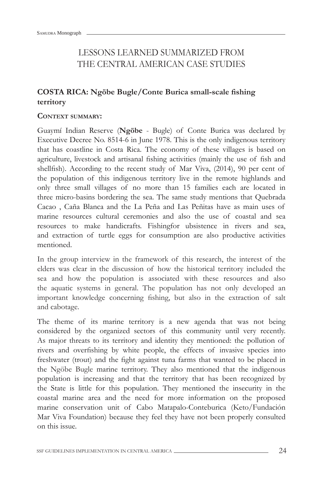# LESSONS LEARNED SUMMARIZED FROM THE CENTRAL AMERICAN CASE STUDIES

# **COSTA RICA: Ngöbe Bugle/Conte Burica small-scale fishing territory**

#### **CONTEXT SUMMARY:**

Guaymí Indian Reserve (**Ngöbe** - Bugle) of Conte Burica was declared by Executive Decree No. 8514-6 in June 1978. This is the only indigenous territory that has coastline in Costa Rica. The economy of these villages is based on agriculture, livestock and artisanal fishing activities (mainly the use of fish and shellfish). According to the recent study of Mar Viva, (2014), 90 per cent of the population of this indigenous territory live in the remote highlands and only three small villages of no more than 15 families each are located in three micro-basins bordering the sea. The same study mentions that Quebrada Cacao , Caña Blanca and the La Peña and Las Peñitas have as main uses of marine resources cultural ceremonies and also the use of coastal and sea resources to make handicrafts. Fishingfor ubsistence in rivers and sea, and extraction of turtle eggs for consumption are also productive activities mentioned.

In the group interview in the framework of this research, the interest of the elders was clear in the discussion of how the historical territory included the sea and how the population is associated with these resources and also the aquatic systems in general. The population has not only developed an important knowledge concerning fishing, but also in the extraction of salt and cabotage.

The theme of its marine territory is a new agenda that was not being considered by the organized sectors of this community until very recently. As major threats to its territory and identity they mentioned: the pollution of rivers and overfishing by white people, the effects of invasive species into freshwater (trout) and the fight against tuna farms that wanted to be placed in the Ngöbe Bugle marine territory. They also mentioned that the indigenous population is increasing and that the territory that has been recognized by the State is little for this population. They mentioned the insecurity in the coastal marine area and the need for more information on the proposed marine conservation unit of Cabo Matapalo-Conteburica (Keto/Fundación Mar Viva Foundation) because they feel they have not been properly consulted on this issue.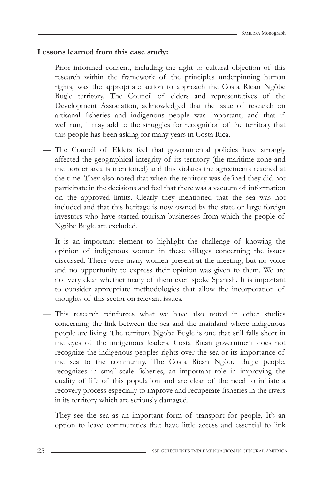#### **Lessons learned from this case study:**

- Prior informed consent, including the right to cultural objection of this research within the framework of the principles underpinning human rights, was the appropriate action to approach the Costa Rican Ngöbe Bugle territory. The Council of elders and representatives of the Development Association, acknowledged that the issue of research on artisanal fisheries and indigenous people was important, and that if well run, it may add to the struggles for recognition of the territory that this people has been asking for many years in Costa Rica.
- The Council of Elders feel that governmental policies have strongly affected the geographical integrity of its territory (the maritime zone and the border area is mentioned) and this violates the agreements reached at the time. They also noted that when the territory was defined they did not participate in the decisions and feel that there was a vacuum of information on the approved limits. Clearly they mentioned that the sea was not included and that this heritage is now owned by the state or large foreign investors who have started tourism businesses from which the people of Ngöbe Bugle are excluded.
- It is an important element to highlight the challenge of knowing the opinion of indigenous women in these villages concerning the issues discussed. There were many women present at the meeting, but no voice and no opportunity to express their opinion was given to them. We are not very clear whether many of them even spoke Spanish. It is important to consider appropriate methodologies that allow the incorporation of thoughts of this sector on relevant issues.
- This research reinforces what we have also noted in other studies concerning the link between the sea and the mainland where indigenous people are living. The territory Ngöbe Bugle is one that still falls short in the eyes of the indigenous leaders. Costa Rican government does not recognize the indigenous peoples rights over the sea or its importance of the sea to the community. The Costa Rican Ngöbe Bugle people, recognizes in small-scale fisheries, an important role in improving the quality of life of this population and are clear of the need to initiate a recovery process especially to improve and recuperate fisheries in the rivers in its territory which are seriously damaged.
- They see the sea as an important form of transport for people, It's an option to leave communities that have little access and essential to link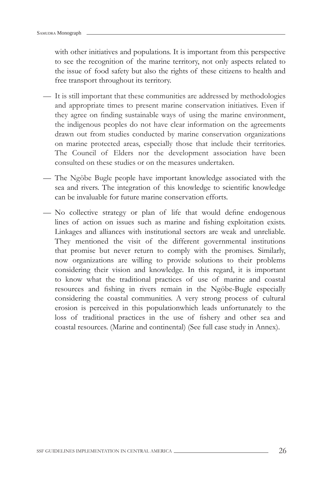with other initiatives and populations. It is important from this perspective to see the recognition of the marine territory, not only aspects related to the issue of food safety but also the rights of these citizens to health and free transport throughout its territory.

- It is still important that these communities are addressed by methodologies and appropriate times to present marine conservation initiatives. Even if they agree on finding sustainable ways of using the marine environment, the indigenous peoples do not have clear information on the agreements drawn out from studies conducted by marine conservation organizations on marine protected areas, especially those that include their territories. The Council of Elders nor the development association have been consulted on these studies or on the measures undertaken.
- The Ngöbe Bugle people have important knowledge associated with the sea and rivers. The integration of this knowledge to scientific knowledge can be invaluable for future marine conservation efforts.
- No collective strategy or plan of life that would define endogenous lines of action on issues such as marine and fishing exploitation exists. Linkages and alliances with institutional sectors are weak and unreliable. They mentioned the visit of the different governmental institutions that promise but never return to comply with the promises. Similarly, now organizations are willing to provide solutions to their problems considering their vision and knowledge. In this regard, it is important to know what the traditional practices of use of marine and coastal resources and fishing in rivers remain in the Ngöbe-Bugle especially considering the coastal communities. A very strong process of cultural erosion is perceived in this populationwhich leads unfortunately to the loss of traditional practices in the use of fishery and other sea and coastal resources. (Marine and continental) (See full case study in Annex).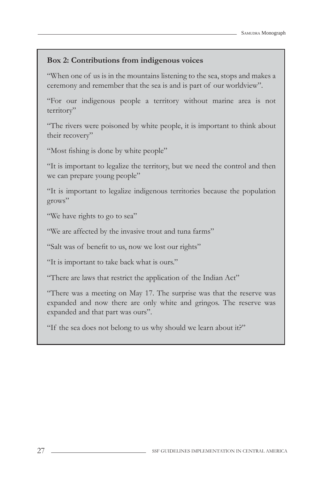### **Box 2: Contributions from indigenous voices**

"When one of us is in the mountains listening to the sea, stops and makes a ceremony and remember that the sea is and is part of our worldview".

"For our indigenous people a territory without marine area is not territory"

"The rivers were poisoned by white people, it is important to think about their recovery"

"Most fishing is done by white people"

"It is important to legalize the territory, but we need the control and then we can prepare young people"

"It is important to legalize indigenous territories because the population grows"

"We have rights to go to sea"

"We are affected by the invasive trout and tuna farms"

"Salt was of benefit to us, now we lost our rights"

"It is important to take back what is ours."

"There are laws that restrict the application of the Indian Act"

"There was a meeting on May 17. The surprise was that the reserve was expanded and now there are only white and gringos. The reserve was expanded and that part was ours".

"If the sea does not belong to us why should we learn about it?"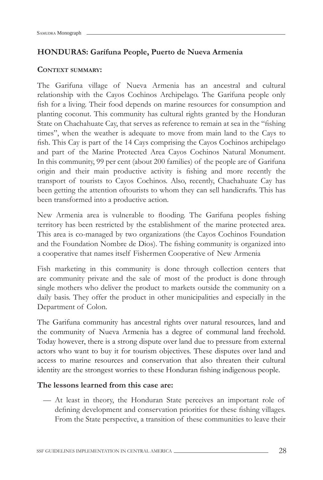#### **HONDURAS: Garífuna People, Puerto de Nueva Armenia**

#### **CONTEXT SUMMARY:**

The Garifuna village of Nueva Armenia has an ancestral and cultural relationship with the Cayos Cochinos Archipelago. The Garifuna people only fish for a living. Their food depends on marine resources for consumption and planting coconut. This community has cultural rights granted by the Honduran State on Chachahuate Cay, that serves as reference to remain at sea in the "fishing times", when the weather is adequate to move from main land to the Cays to fish. This Cay is part of the 14 Cays comprising the Cayos Cochinos archipelago and part of the Marine Protected Area Cayos Cochinos Natural Monument. In this community, 99 per cent (about 200 families) of the people are of Garifuna origin and their main productive activity is fishing and more recently the transport of tourists to Cayos Cochinos. Also, recently, Chachahuate Cay has been getting the attention oftourists to whom they can sell handicrafts. This has been transformed into a productive action.

New Armenia area is vulnerable to flooding. The Garifuna peoples fishing territory has been restricted by the establishment of the marine protected area. This area is co-managed by two organizations (the Cayos Cochinos Foundation and the Foundation Nombre de Dios). The fishing community is organized into a cooperative that names itself Fishermen Cooperative of New Armenia

Fish marketing in this community is done through collection centers that are community private and the sale of most of the product is done through single mothers who deliver the product to markets outside the community on a daily basis. They offer the product in other municipalities and especially in the Department of Colon.

The Garifuna community has ancestral rights over natural resources, land and the community of Nueva Armenia has a degree of communal land freehold. Today however, there is a strong dispute over land due to pressure from external actors who want to buy it for tourism objectives. These disputes over land and access to marine resources and conservation that also threaten their cultural identity are the strongest worries to these Honduran fishing indigenous people.

#### **The lessons learned from this case are:**

— At least in theory, the Honduran State perceives an important role of defining development and conservation priorities for these fishing villages. From the State perspective, a transition of these communities to leave their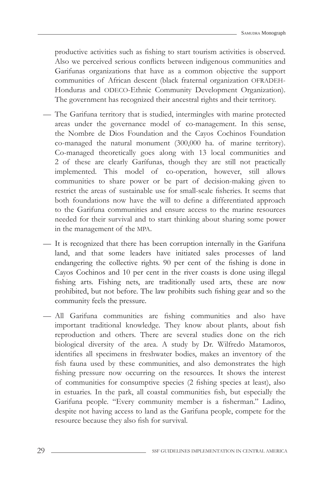productive activities such as fishing to start tourism activities is observed. Also we perceived serious conflicts between indigenous communities and Garifunas organizations that have as a common objective the support communities of African descent (black fraternal organization OFRADEH-Honduras and ODECO-Ethnic Community Development Organization). The government has recognized their ancestral rights and their territory.

- The Garifuna territory that is studied, intermingles with marine protected areas under the governance model of co-management. In this sense, the Nombre de Dios Foundation and the Cayos Cochinos Foundation co-managed the natural monument (300,000 ha. of marine territory). Co-managed theoretically goes along with 13 local communities and 2 of these are clearly Garífunas, though they are still not practically implemented. This model of co-operation, however, still allows communities to share power or be part of decision-making given to restrict the areas of sustainable use for small-scale fisheries. It seems that both foundations now have the will to define a differentiated approach to the Garifuna communities and ensure access to the marine resources needed for their survival and to start thinking about sharing some power in the management of the MPA.
- It is recognized that there has been corruption internally in the Garifuna land, and that some leaders have initiated sales processes of land endangering the collective rights. 90 per cent of the fishing is done in Cayos Cochinos and 10 per cent in the river coasts is done using illegal fishing arts. Fishing nets, are traditionally used arts, these are now prohibited, but not before. The law prohibits such fishing gear and so the community feels the pressure.
- All Garifuna communities are fishing communities and also have important traditional knowledge. They know about plants, about fish reproduction and others. There are several studies done on the rich biological diversity of the area. A study by Dr. Wilfredo Matamoros, identifies all specimens in freshwater bodies, makes an inventory of the fish fauna used by these communities, and also demonstrates the high fishing pressure now occurring on the resources. It shows the interest of communities for consumptive species (2 fishing species at least), also in estuaries. In the park, all coastal communities fish, but especially the Garifuna people. "Every community member is a fisherman." Ladino, despite not having access to land as the Garifuna people, compete for the resource because they also fish for survival.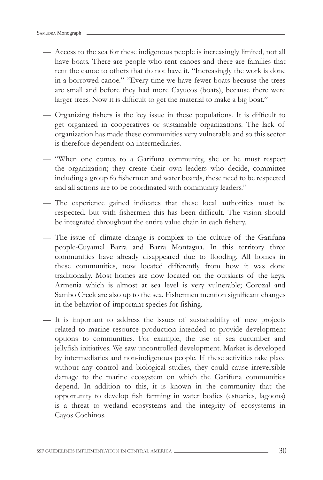- Access to the sea for these indigenous people is increasingly limited, not all have boats. There are people who rent canoes and there are families that rent the canoe to others that do not have it. "Increasingly the work is done in a borrowed canoe." "Every time we have fewer boats because the trees are small and before they had more Cayucos (boats), because there were larger trees. Now it is difficult to get the material to make a big boat."
- Organizing fishers is the key issue in these populations. It is difficult to get organized in cooperatives or sustainable organizations. The lack of organization has made these communities very vulnerable and so this sector is therefore dependent on intermediaries.
- "When one comes to a Garifuna community, she or he must respect the organization; they create their own leaders who decide, committee including a group fo fishermen and water boards, these need to be respected and all actions are to be coordinated with community leaders."
- The experience gained indicates that these local authorities must be respected, but with fishermen this has been difficult. The vision should be integrated throughout the entire value chain in each fishery.
- The issue of climate change is complex to the culture of the Garifuna people-Cuyamel Barra and Barra Montagua. In this territory three communities have already disappeared due to flooding. All homes in these communities, now located differently from how it was done traditionally. Most homes are now located on the outskirts of the keys. Armenia which is almost at sea level is very vulnerable; Corozal and Sambo Creek are also up to the sea. Fishermen mention significant changes in the behavior of important species for fishing.
- It is important to address the issues of sustainability of new projects related to marine resource production intended to provide development options to communities. For example, the use of sea cucumber and jellyfish initiatives. We saw uncontrolled development. Market is developed by intermediaries and non-indigenous people. If these activities take place without any control and biological studies, they could cause irreversible damage to the marine ecosystem on which the Garifuna communities depend. In addition to this, it is known in the community that the opportunity to develop fish farming in water bodies (estuaries, lagoons) is a threat to wetland ecosystems and the integrity of ecosystems in Cayos Cochinos.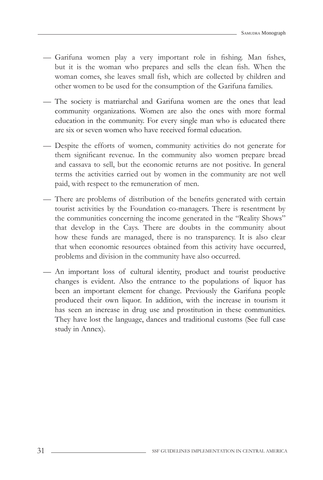- Garifuna women play a very important role in fishing. Man fishes, but it is the woman who prepares and sells the clean fish. When the woman comes, she leaves small fish, which are collected by children and other women to be used for the consumption of the Garifuna families.
- The society is matriarchal and Garifuna women are the ones that lead community organizations. Women are also the ones with more formal education in the community. For every single man who is educated there are six or seven women who have received formal education.
- Despite the efforts of women, community activities do not generate for them significant revenue. In the community also women prepare bread and cassava to sell, but the economic returns are not positive. In general terms the activities carried out by women in the community are not well paid, with respect to the remuneration of men.
- There are problems of distribution of the benefits generated with certain tourist activities by the Foundation co-managers. There is resentment by the communities concerning the income generated in the "Reality Shows" that develop in the Cays. There are doubts in the community about how these funds are managed, there is no transparency. It is also clear that when economic resources obtained from this activity have occurred, problems and division in the community have also occurred.
- An important loss of cultural identity, product and tourist productive changes is evident. Also the entrance to the populations of liquor has been an important element for change. Previously the Garifuna people produced their own liquor. In addition, with the increase in tourism it has seen an increase in drug use and prostitution in these communities. They have lost the language, dances and traditional customs (See full case study in Annex).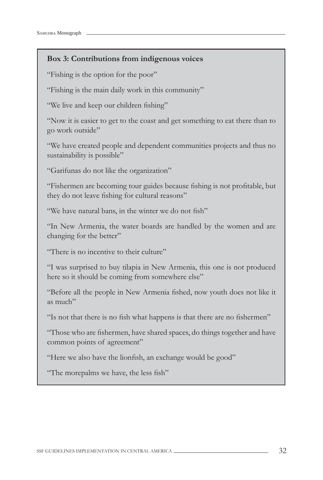### **Box 3: Contributions from indigenous voices**

"Fishing is the option for the poor"

"Fishing is the main daily work in this community"

"We live and keep our children fishing"

"Now it is easier to get to the coast and get something to eat there than to go work outside"

"We have created people and dependent communities projects and thus no sustainability is possible"

"Garifunas do not like the organization"

"Fishermen are becoming tour guides because fishing is not profitable, but they do not leave fishing for cultural reasons"

"We have natural bans, in the winter we do not fish"

"In New Armenia, the water boards are handled by the women and are changing for the better"

"There is no incentive to their culture"

"I was surprised to buy tilapia in New Armenia, this one is not produced here so it should be coming from somewhere else"

"Before all the people in New Armenia fished, now youth does not like it as much"

"Is not that there is no fish what happens is that there are no fishermen"

"Those who are fishermen, have shared spaces, do things together and have common points of agreement"

"Here we also have the lionfish, an exchange would be good"

"The morepalms we have, the less fish"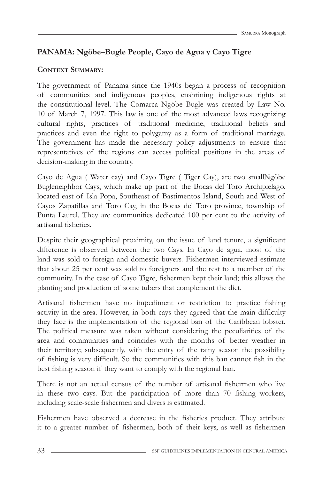# **PANAMA: Ngöbe–Bugle People, Cayo de Agua y Cayo Tigre**

### **CONTEXT SUMMARY:**

The government of Panama since the 1940s began a process of recognition of communities and indigenous peoples, enshrining indigenous rights at the constitutional level. The Comarca Ngöbe Bugle was created by Law No. 10 of March 7, 1997. This law is one of the most advanced laws recognizing cultural rights, practices of traditional medicine, traditional beliefs and practices and even the right to polygamy as a form of traditional marriage. The government has made the necessary policy adjustments to ensure that representatives of the regions can access political positions in the areas of decision-making in the country.

Cayo de Agua ( Water cay) and Cayo Tigre ( Tiger Cay), are two smallNgöbe Bugleneighbor Cays, which make up part of the Bocas del Toro Archipielago, located east of Isla Popa, Southeast of Bastimentos Island, South and West of Cayos Zapatillas and Toro Cay, in the Bocas del Toro province, township of Punta Laurel. They are communities dedicated 100 per cent to the activity of artisanal fisheries.

Despite their geographical proximity, on the issue of land tenure, a significant difference is observed between the two Cays. In Cayo de agua, most of the land was sold to foreign and domestic buyers. Fishermen interviewed estimate that about 25 per cent was sold to foreigners and the rest to a member of the community. In the case of Cayo Tigre, fishermen kept their land; this allows the planting and production of some tubers that complement the diet.

Artisanal fishermen have no impediment or restriction to practice fishing activity in the area. However, in both cays they agreed that the main difficulty they face is the implementation of the regional ban of the Caribbean lobster. The political measure was taken without considering the peculiarities of the area and communities and coincides with the months of better weather in their territory; subsequently, with the entry of the rainy season the possibility of fishing is very difficult. So the communities with this ban cannot fish in the best fishing season if they want to comply with the regional ban.

There is not an actual census of the number of artisanal fishermen who live in these two cays. But the participation of more than 70 fishing workers, including scale-scale fishermen and divers is estimated.

Fishermen have observed a decrease in the fisheries product. They attribute it to a greater number of fishermen, both of their keys, as well as fishermen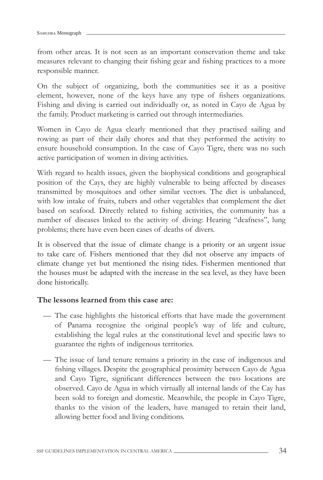from other areas. It is not seen as an important conservation theme and take measures relevant to changing their fishing gear and fishing practices to a more responsible manner.

On the subject of organizing, both the communities see it as a positive element, however, none of the keys have any type of fishers organizations. Fishing and diving is carried out individually or, as noted in Cayo de Agua by the family. Product marketing is carried out through intermediaries.

Women in Cayo de Agua clearly mentioned that they practised sailing and rowing as part of their daily chores and that they performed the activity to ensure household consumption. In the case of Cayo Tigre, there was no such active participation of women in diving activities.

With regard to health issues, given the biophysical conditions and geographical position of the Cays, they are highly vulnerable to being affected by diseases transmitted by mosquitoes and other similar vectors. The diet is unbalanced, with low intake of fruits, tubers and other vegetables that complement the diet based on seafood. Directly related to fishing activities, the community has a number of diseases linked to the activity of diving: Hearing "deafness", lung problems; there have even been cases of deaths of divers.

It is observed that the issue of climate change is a priority or an urgent issue to take care of. Fishers mentioned that they did not observe any impacts of climate change yet but mentioned the rising tides. Fishermen mentioned that the houses must be adapted with the increase in the sea level, as they have been done historically.

#### **The lessons learned from this case are:**

- The case highlights the historical efforts that have made the government of Panama recognize the original people's way of life and culture, establishing the legal rules at the constitutional level and specific laws to guarantee the rights of indigenous territories.
- The issue of land tenure remains a priority in the case of indigenous and fishing villages. Despite the geographical proximity between Cayo de Agua and Cayo Tigre, significant differences between the two locations are observed. Cayo de Agua in which virtually all internal lands of the Cay has been sold to foreign and domestic. Meanwhile, the people in Cayo Tigre, thanks to the vision of the leaders, have managed to retain their land, allowing better food and living conditions.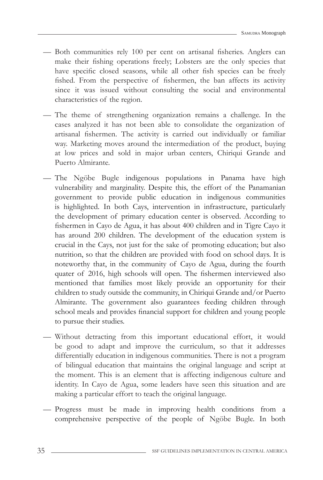- Both communities rely 100 per cent on artisanal fisheries. Anglers can make their fishing operations freely; Lobsters are the only species that have specific closed seasons, while all other fish species can be freely fished. From the perspective of fishermen, the ban affects its activity since it was issued without consulting the social and environmental characteristics of the region.
- The theme of strengthening organization remains a challenge. In the cases analyzed it has not been able to consolidate the organization of artisanal fishermen. The activity is carried out individually or familiar way. Marketing moves around the intermediation of the product, buying at low prices and sold in major urban centers, Chiriqui Grande and Puerto Almirante.
- The Ngöbe Bugle indigenous populations in Panama have high vulnerability and marginality. Despite this, the effort of the Panamanian government to provide public education in indigenous communities is highlighted. In both Cays, intervention in infrastructure, particularly the development of primary education center is observed. According to fishermen in Cayo de Agua, it has about 400 children and in Tigre Cayo it has around 200 children. The development of the education system is crucial in the Cays, not just for the sake of promoting education; but also nutrition, so that the children are provided with food on school days. It is noteworthy that, in the community of Cayo de Agua, during the fourth quater of 2016, high schools will open. The fishermen interviewed also mentioned that families most likely provide an opportunity for their children to study outside the community, in Chiriqui Grande and/or Puerto Almirante. The government also guarantees feeding children through school meals and provides financial support for children and young people to pursue their studies.
- Without detracting from this important educational effort, it would be good to adapt and improve the curriculum, so that it addresses differentially education in indigenous communities. There is not a program of bilingual education that maintains the original language and script at the moment. This is an element that is affecting indigenous culture and identity. In Cayo de Agua, some leaders have seen this situation and are making a particular effort to teach the original language.
- Progress must be made in improving health conditions from a comprehensive perspective of the people of Ngöbe Bugle. In both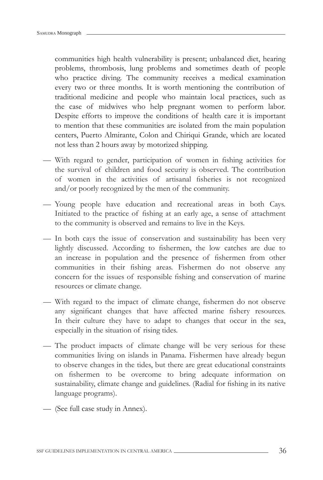communities high health vulnerability is present; unbalanced diet, hearing problems, thrombosis, lung problems and sometimes death of people who practice diving. The community receives a medical examination every two or three months. It is worth mentioning the contribution of traditional medicine and people who maintain local practices, such as the case of midwives who help pregnant women to perform labor. Despite efforts to improve the conditions of health care it is important to mention that these communities are isolated from the main population centers, Puerto Almirante, Colon and Chiriqui Grande, which are located not less than 2 hours away by motorized shipping.

- With regard to gender, participation of women in fishing activities for the survival of children and food security is observed. The contribution of women in the activities of artisanal fisheries is not recognized and/or poorly recognized by the men of the community.
- Young people have education and recreational areas in both Cays. Initiated to the practice of fishing at an early age, a sense of attachment to the community is observed and remains to live in the Keys.
- In both cays the issue of conservation and sustainability has been very lightly discussed. According to fishermen, the low catches are due to an increase in population and the presence of fishermen from other communities in their fishing areas. Fishermen do not observe any concern for the issues of responsible fishing and conservation of marine resources or climate change.
- With regard to the impact of climate change, fishermen do not observe any significant changes that have affected marine fishery resources. In their culture they have to adapt to changes that occur in the sea, especially in the situation of rising tides.
- The product impacts of climate change will be very serious for these communities living on islands in Panama. Fishermen have already begun to observe changes in the tides, but there are great educational constraints on fishermen to be overcome to bring adequate information on sustainability, climate change and guidelines. (Radial for fishing in its native language programs).
- (See full case study in Annex).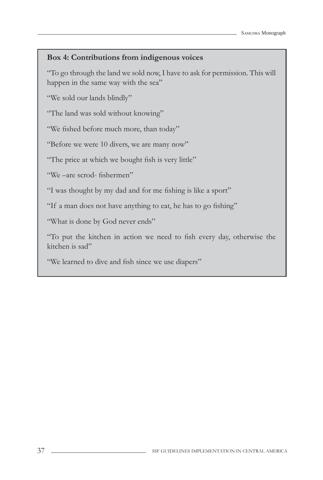#### **Box 4: Contributions from indigenous voices**

"To go through the land we sold now, I have to ask for permission. This will happen in the same way with the sea"

"We sold our lands blindly"

"The land was sold without knowing"

"We fished before much more, than today"

"Before we were 10 divers, we are many now"

"The price at which we bought fish is very little"

"We –are scrod- fishermen"

"I was thought by my dad and for me fishing is like a sport"

"If a man does not have anything to eat, he has to go fishing"

"What is done by God never ends"

"To put the kitchen in action we need to fish every day, otherwise the kitchen is sad"

"We learned to dive and fish since we use diapers"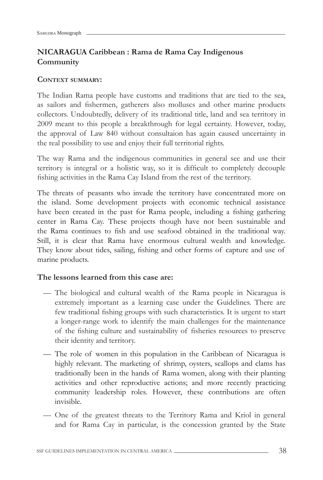# **NICARAGUA Caribbean : Rama de Rama Cay Indigenous Community**

#### **CONTEXT SUMMARY:**

The Indian Rama people have customs and traditions that are tied to the sea, as sailors and fishermen, gatherers also molluscs and other marine products collectors. Undoubtedly, delivery of its traditional title, land and sea territory in 2009 meant to this people a breakthrough for legal certainty. However, today, the approval of Law 840 without consultaion has again caused uncertainty in the real possibility to use and enjoy their full territorial rights.

The way Rama and the indigenous communities in general see and use their territory is integral or a holistic way, so it is difficult to completely decouple fishing activities in the Rama Cay Island from the rest of the territory.

The threats of peasants who invade the territory have concentrated more on the island. Some development projects with economic technical assistance have been created in the past for Rama people, including a fishing gathering center in Rama Cay. These projects though have not been sustainable and the Rama continues to fish and use seafood obtained in the traditional way. Still, it is clear that Rama have enormous cultural wealth and knowledge. They know about tides, sailing, fishing and other forms of capture and use of marine products.

#### **The lessons learned from this case are:**

- The biological and cultural wealth of the Rama people in Nicaragua is extremely important as a learning case under the Guidelines. There are few traditional fishing groups with such characteristics. It is urgent to start a longer-range work to identify the main challenges for the maintenance of the fishing culture and sustainability of fisheries resources to preserve their identity and territory.
- The role of women in this population in the Caribbean of Nicaragua is highly relevant. The marketing of shrimp, oysters, scallops and clams has traditionally been in the hands of Rama women, along with their planting activities and other reproductive actions; and more recently practicing community leadership roles. However, these contributions are often invisible.
- One of the greatest threats to the Territory Rama and Kriol in general and for Rama Cay in particular, is the concession granted by the State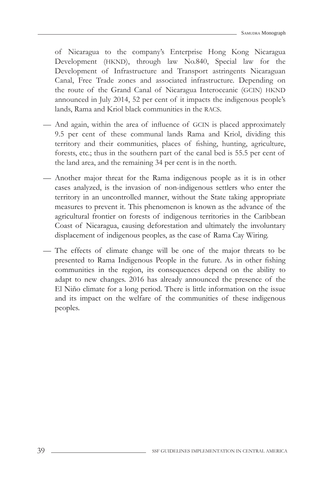of Nicaragua to the company's Enterprise Hong Kong Nicaragua Development (HKND), through law No.840, Special law for the Development of Infrastructure and Transport astringents Nicaraguan Canal, Free Trade zones and associated infrastructure. Depending on the route of the Grand Canal of Nicaragua Interoceanic (GCIN) HKND announced in July 2014, 52 per cent of it impacts the indigenous people's lands, Rama and Kriol black communities in the RACS.

- And again, within the area of influence of GCIN is placed approximately 9.5 per cent of these communal lands Rama and Kriol, dividing this territory and their communities, places of fishing, hunting, agriculture, forests, etc.; thus in the southern part of the canal bed is 55.5 per cent of the land area, and the remaining 34 per cent is in the north.
- Another major threat for the Rama indigenous people as it is in other cases analyzed, is the invasion of non-indigenous settlers who enter the territory in an uncontrolled manner, without the State taking appropriate measures to prevent it. This phenomenon is known as the advance of the agricultural frontier on forests of indigenous territories in the Caribbean Coast of Nicaragua, causing deforestation and ultimately the involuntary displacement of indigenous peoples, as the case of Rama Cay Wiring.
- The effects of climate change will be one of the major threats to be presented to Rama Indigenous People in the future. As in other fishing communities in the region, its consequences depend on the ability to adapt to new changes. 2016 has already announced the presence of the El Niño climate for a long period. There is little information on the issue and its impact on the welfare of the communities of these indigenous peoples.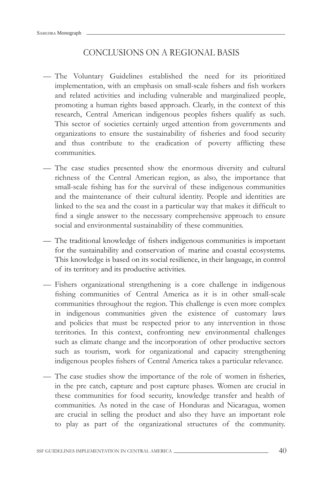# CONCLUSIONS ON A REGIONAL BASIS

- The Voluntary Guidelines established the need for its prioritized implementation, with an emphasis on small-scale fishers and fish workers and related activities and including vulnerable and marginalized people, promoting a human rights based approach. Clearly, in the context of this research, Central American indigenous peoples fishers qualify as such. This sector of societies certainly urged attention from governments and organizations to ensure the sustainability of fisheries and food security and thus contribute to the eradication of poverty afflicting these communities.
- The case studies presented show the enormous diversity and cultural richness of the Central American region, as also, the importance that small-scale fishing has for the survival of these indigenous communities and the maintenance of their cultural identity. People and identities are linked to the sea and the coast in a particular way that makes it difficult to find a single answer to the necessary comprehensive approach to ensure social and environmental sustainability of these communities.
- The traditional knowledge of fishers indigenous communities is important for the sustainability and conservation of marine and coastal ecosystems. This knowledge is based on its social resilience, in their language, in control of its territory and its productive activities.
- Fishers organizational strengthening is a core challenge in indigenous fishing communities of Central America as it is in other small-scale communities throughout the region. This challenge is even more complex in indigenous communities given the existence of customary laws and policies that must be respected prior to any intervention in those territories. In this context, confronting new environmental challenges such as climate change and the incorporation of other productive sectors such as tourism, work for organizational and capacity strengthening indigenous peoples fishers of Central America takes a particular relevance.
- The case studies show the importance of the role of women in fisheries, in the pre catch, capture and post capture phases. Women are crucial in these communities for food security, knowledge transfer and health of communities. As noted in the case of Honduras and Nicaragua, women are crucial in selling the product and also they have an important role to play as part of the organizational structures of the community.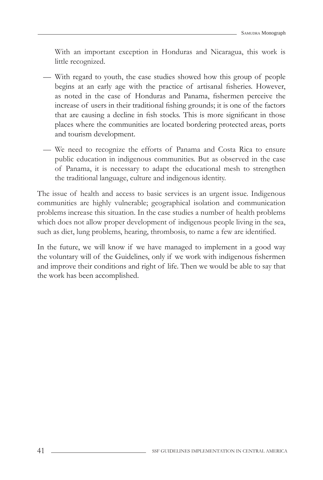With an important exception in Honduras and Nicaragua, this work is little recognized.

- With regard to youth, the case studies showed how this group of people begins at an early age with the practice of artisanal fisheries. However, as noted in the case of Honduras and Panama, fishermen perceive the increase of users in their traditional fishing grounds; it is one of the factors that are causing a decline in fish stocks. This is more significant in those places where the communities are located bordering protected areas, ports and tourism development.
- We need to recognize the efforts of Panama and Costa Rica to ensure public education in indigenous communities. But as observed in the case of Panama, it is necessary to adapt the educational mesh to strengthen the traditional language, culture and indigenous identity.

The issue of health and access to basic services is an urgent issue. Indigenous communities are highly vulnerable; geographical isolation and communication problems increase this situation. In the case studies a number of health problems which does not allow proper development of indigenous people living in the sea, such as diet, lung problems, hearing, thrombosis, to name a few are identified.

In the future, we will know if we have managed to implement in a good way the voluntary will of the Guidelines, only if we work with indigenous fishermen and improve their conditions and right of life. Then we would be able to say that the work has been accomplished.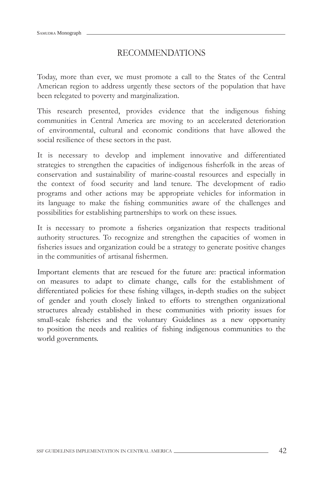# RECOMMENDATIONS

Today, more than ever, we must promote a call to the States of the Central American region to address urgently these sectors of the population that have been relegated to poverty and marginalization.

This research presented, provides evidence that the indigenous fishing communities in Central America are moving to an accelerated deterioration of environmental, cultural and economic conditions that have allowed the social resilience of these sectors in the past.

It is necessary to develop and implement innovative and differentiated strategies to strengthen the capacities of indigenous fisherfolk in the areas of conservation and sustainability of marine-coastal resources and especially in the context of food security and land tenure. The development of radio programs and other actions may be appropriate vehicles for information in its language to make the fishing communities aware of the challenges and possibilities for establishing partnerships to work on these issues.

It is necessary to promote a fisheries organization that respects traditional authority structures. To recognize and strengthen the capacities of women in fisheries issues and organization could be a strategy to generate positive changes in the communities of artisanal fishermen.

Important elements that are rescued for the future are: practical information on measures to adapt to climate change, calls for the establishment of differentiated policies for these fishing villages, in-depth studies on the subject of gender and youth closely linked to efforts to strengthen organizational structures already established in these communities with priority issues for small-scale fisheries and the voluntary Guidelines as a new opportunity to position the needs and realities of fishing indigenous communities to the world governments.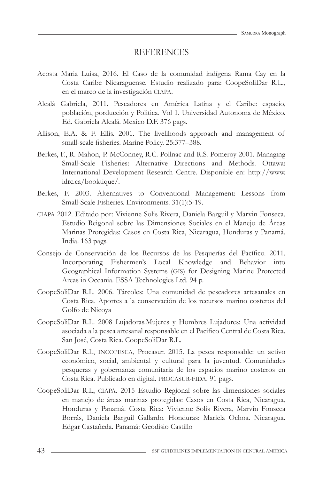#### REFERENCES

- Acosta Maria Luisa, 2016. El Caso de la comunidad indígena Rama Cay en la Costa Caribe Nicaraguense. Estudio realizado para: CoopeSoliDar R.L., en el marco de la investigación CIAPA.
- Alcalá Gabriela, 2011. Pescadores en América Latina y el Caribe: espacio, población, porducción y Politica. Vol 1. Universidad Autonoma de México. Ed. Gabriela Alcalá. Mexico D.F. 376 pags.
- Allison, E.A. & F. Ellis. 2001. The livelihoods approach and management of small-scale fisheries. Marine Policy. 25:377–388.
- Berkes, F., R. Mahon, P. McConney, R.C. Pollnac and R.S. Pomeroy 2001. Managing Small-Scale Fisheries: Alternative Directions and Methods. Ottawa: International Development Research Centre. Disponible en: http://www. idrc.ca/booktique/.
- Berkes, F. 2003. Alternatives to Conventional Management: Lessons from Small-Scale Fisheries. Environments. 31(1):5-19.
- CIAPA 2012. Editado por: Vivienne Solis Rivera, Daniela Barguil y Marvin Fonseca. Estudio Reigonal sobre las Dimensiones Sociales en el Manejo de Áreas Marinas Protegidas: Casos en Costa Rica, Nicaragua, Honduras y Panamá. India. 163 pags.
- Consejo de Conservación de los Recursos de las Pesquerías del Pacífico. 2011. Incorporating Fishermen's Local Knowledge and Behavior into Geographical Information Systems (GIS) for Designing Marine Protected Areas in Oceania. ESSA Technologies Ltd. 94 p.
- CoopeSoliDar R.L. 2006. Tárcoles: Una comunidad de pescadores artesanales en Costa Rica. Aportes a la conservación de los recursos marino costeros del Golfo de Nicoya
- CoopeSoliDar R.L. 2008 Lujadoras.Mujeres y Hombres Lujadores: Una actividad asociada a la pesca artesanal responsable en el Pacífico Central de Costa Rica. San José, Costa Rica. CoopeSoliDar R.L.
- CoopeSoliDar R.L, INCOPESCA, Procasur. 2015. La pesca responsable: un activo económico, social, ambiental y cultural para la juventud. Comunidades pesqueras y gobernanza comunitaria de los espacios marino costeros en Costa Rica. Publicado en digital. PROCASUR-FIDA. 91 pags.
- CoopeSoliDar R.L, CIAPA. 2015 Estudio Regional sobre las dimensiones sociales en manejo de áreas marinas protegidas: Casos en Costa Rica, Nicaragua, Honduras y Panamá. Costa Rica: Vivienne Solis Rivera, Marvin Fonseca Borrás, Daniela Barguil Gallardo. Honduras: Mariela Ochoa. Nicaragua. Edgar Castañeda. Panamá: Geodisio Castillo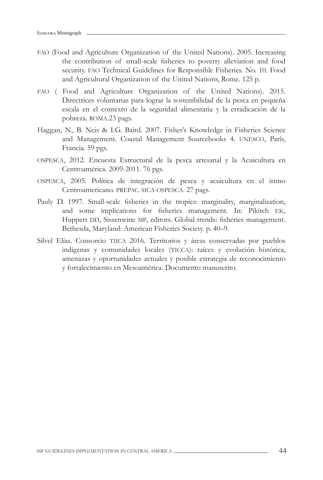- FAO (Food and Agriculture Organization of the United Nations). 2005. Increasing the contribution of small-scale fisheries to poverty alleviation and food security. FAO Technical Guidelines for Responsible Fisheries. No. 10. Food and Agricultural Organization of the United Nations, Rome. 125 p.
- FAO ( Food and Agriculture Organization of the United Nations). 2015. Directrices voluntarias para lograr la sostenibilidad de la pesca en pequeña escala en el contexto de la seguridad alimentaria y la erradicación de la pobreza. ROMA.23 pags.
- Haggan, N., B. Neis & I.G. Baird. 2007. Fisher's Knowledge in Fisheries Science and Management. Coastal Management Sourcebooks 4. UNESCO, París, Francia. 59 pgs.
- OSPESCA, 2012. Encuesta Estructural de la pesca artesanal y la Acuicultura en Centroamérica. 2009-2011. 76 pgs.
- OSPESCA, 2005. Política de integración de pesca y acuicultura en el istmo Centroamericano. PREPAC. SICA-OSPESCA. 27 pags.
- Pauly D. 1997. Small-scale fisheries in the tropics: marginality, marginalisation, and some implications for fisheries management. In: Pikitch EK, Huppert DD, Sissenwine MP, editors. Global trends: fisheries management. Bethesda, Maryland: American Fisheries Society. p. 40–9.
- Silvel Elías. Consorcio TIICA 2016. Territorios y áreas conservadas por pueblos indígenas y comunidades locales (TICCA): raíces y evolución histórica, amenazas y oportunidades actuales y posible estrategia de reconocimiento y fortalecimiento en Mesoamérica. Documento manuscrito.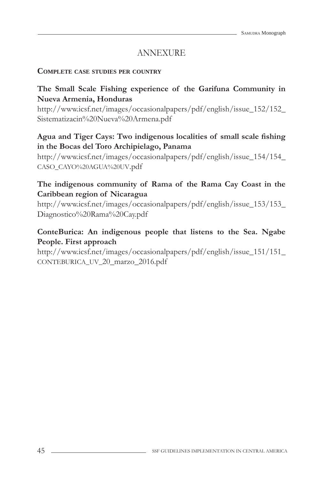# ANNEXURE

#### **COMPLETE CASE STUDIES PER COUNTRY**

## **The Small Scale Fishing experience of the Garifuna Community in Nueva Armenia, Honduras**

http://www.icsf.net/images/occasionalpapers/pdf/english/issue\_152/152\_ Sistematizacin%20Nueva%20Armena.pdf

## Agua and Tiger Cays: Two indigenous localities of small scale fishing **in the Bocas del Toro Archipielago, Panama**

http://www.icsf.net/images/occasionalpapers/pdf/english/issue\_154/154\_ CASO\_CAYO%20AGUA%20UV.pdf

## **The indigenous community of Rama of the Rama Cay Coast in the Caribbean region of Nicaragua**

http://www.icsf.net/images/occasionalpapers/pdf/english/issue\_153/153\_ Diagnostico%20Rama%20Cay.pdf

## **ConteBurica: An indigenous people that listens to the Sea. Ngabe People. First approach**

http://www.icsf.net/images/occasionalpapers/pdf/english/issue\_151/151\_ CONTEBURICA\_UV\_20\_marzo\_2016.pdf